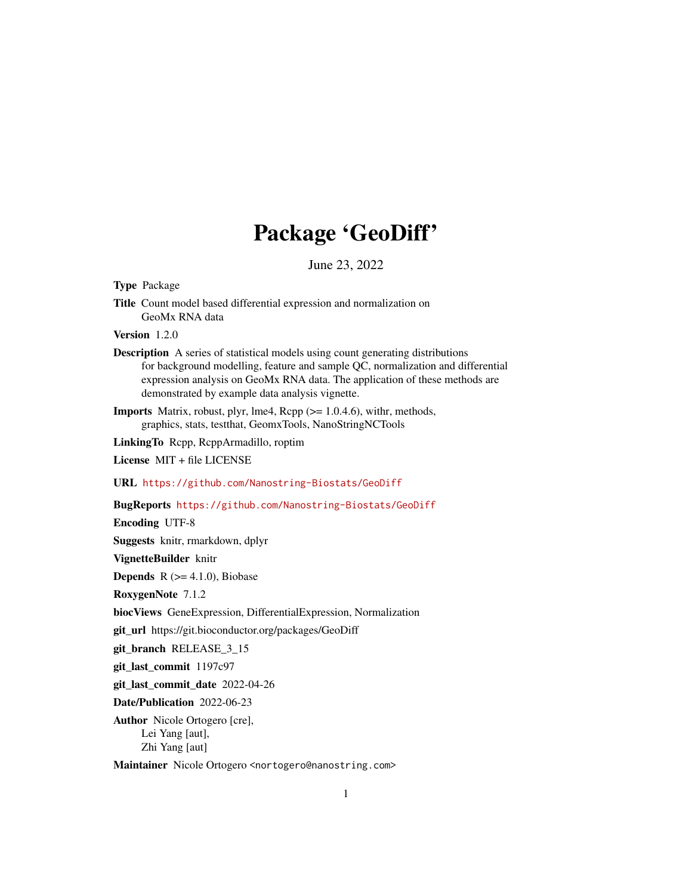# Package 'GeoDiff'

June 23, 2022

Type Package

Title Count model based differential expression and normalization on GeoMx RNA data

Version 1.2.0

- Description A series of statistical models using count generating distributions for background modelling, feature and sample QC, normalization and differential expression analysis on GeoMx RNA data. The application of these methods are demonstrated by example data analysis vignette.
- **Imports** Matrix, robust, plyr, lme4,  $\text{Rcpp}$  ( $>= 1.0.4.6$ ), with r, methods, graphics, stats, testthat, GeomxTools, NanoStringNCTools

LinkingTo Rcpp, RcppArmadillo, roptim

License MIT + file LICENSE

URL <https://github.com/Nanostring-Biostats/GeoDiff>

BugReports <https://github.com/Nanostring-Biostats/GeoDiff>

Encoding UTF-8

Suggests knitr, rmarkdown, dplyr

VignetteBuilder knitr

**Depends**  $R$  ( $>= 4.1.0$ ), Biobase

RoxygenNote 7.1.2

biocViews GeneExpression, DifferentialExpression, Normalization

git\_url https://git.bioconductor.org/packages/GeoDiff

git\_branch RELEASE\_3\_15

git\_last\_commit 1197c97

git\_last\_commit\_date 2022-04-26

Date/Publication 2022-06-23

Author Nicole Ortogero [cre], Lei Yang [aut], Zhi Yang [aut]

Maintainer Nicole Ortogero<nortogero@nanostring.com>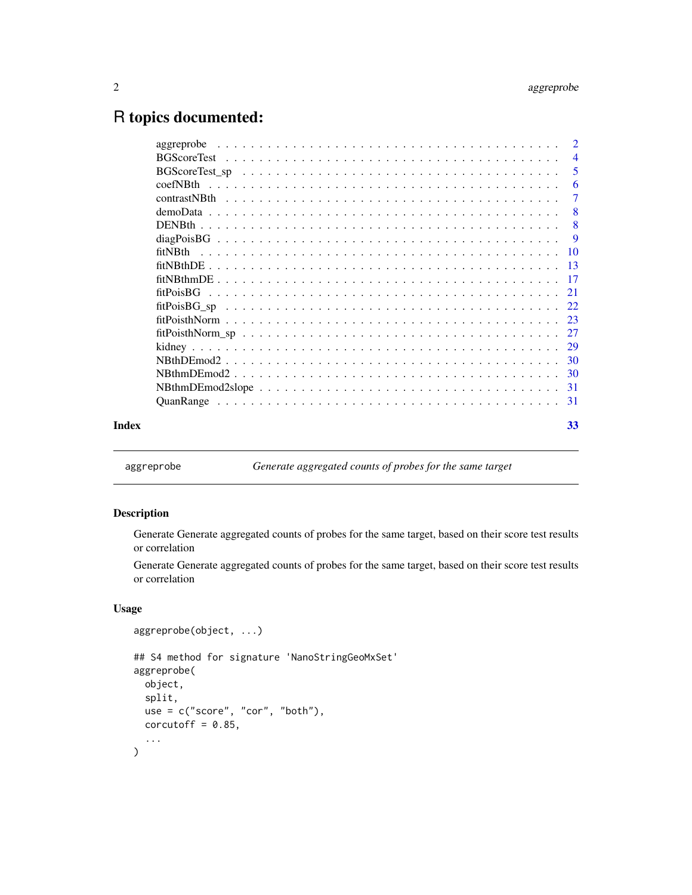# <span id="page-1-0"></span>R topics documented:

|       | aggreprobe |                |
|-------|------------|----------------|
|       |            | $\overline{4}$ |
|       |            | 5              |
|       | coefNBth   | 6              |
|       |            | 7              |
|       |            | -8             |
|       |            | 8              |
|       |            | -9             |
|       |            |                |
|       |            |                |
|       |            |                |
|       |            |                |
|       |            |                |
|       |            |                |
|       |            |                |
|       |            |                |
|       |            |                |
|       |            |                |
|       |            |                |
|       |            |                |
| Index |            | 33             |
|       |            |                |

aggreprobe *Generate aggregated counts of probes for the same target*

# Description

Generate Generate aggregated counts of probes for the same target, based on their score test results or correlation

Generate Generate aggregated counts of probes for the same target, based on their score test results or correlation

# Usage

```
aggreprobe(object, ...)
```

```
## S4 method for signature 'NanoStringGeoMxSet'
aggreprobe(
 object,
 split,
 use = c("score", "cor", "both"),corcutoff = 0.85,
  ...
)
```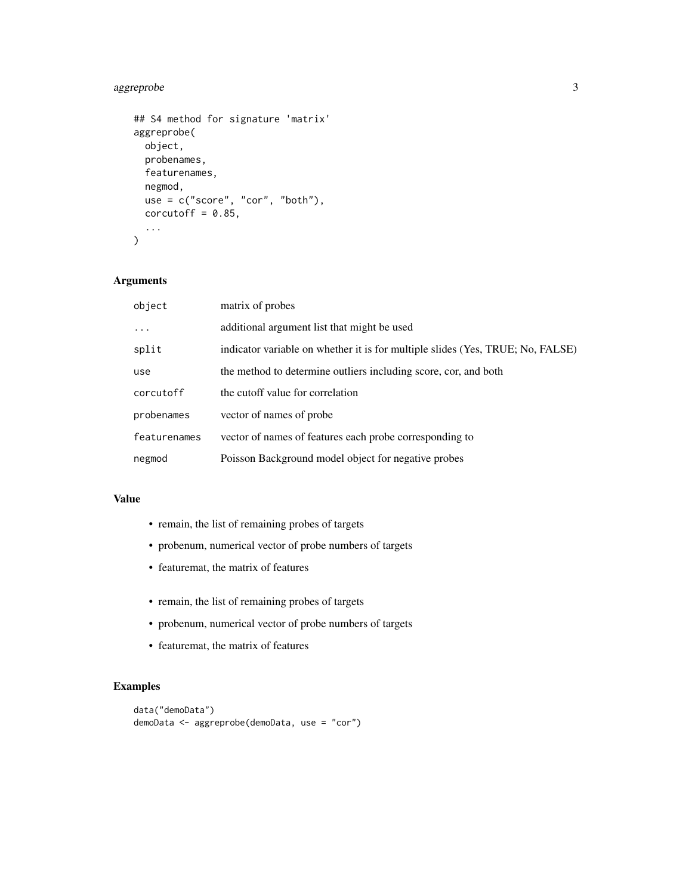# aggreprobe 3

```
## S4 method for signature 'matrix'
aggreprobe(
 object,
 probenames,
 featurenames,
 negmod,
 use = c("score", "cor", "both"),corcutoff = 0.85,
  ...
\mathcal{L}
```
# Arguments

| object       | matrix of probes                                                               |
|--------------|--------------------------------------------------------------------------------|
| .            | additional argument list that might be used                                    |
| split        | indicator variable on whether it is for multiple slides (Yes, TRUE; No, FALSE) |
| use          | the method to determine outliers including score, cor, and both                |
| corcutoff    | the cutoff value for correlation                                               |
| probenames   | vector of names of probe                                                       |
| featurenames | vector of names of features each probe corresponding to                        |
| negmod       | Poisson Background model object for negative probes                            |

# Value

- remain, the list of remaining probes of targets
- probenum, numerical vector of probe numbers of targets
- featuremat, the matrix of features
- remain, the list of remaining probes of targets
- probenum, numerical vector of probe numbers of targets
- featuremat, the matrix of features

# Examples

```
data("demoData")
demoData <- aggreprobe(demoData, use = "cor")
```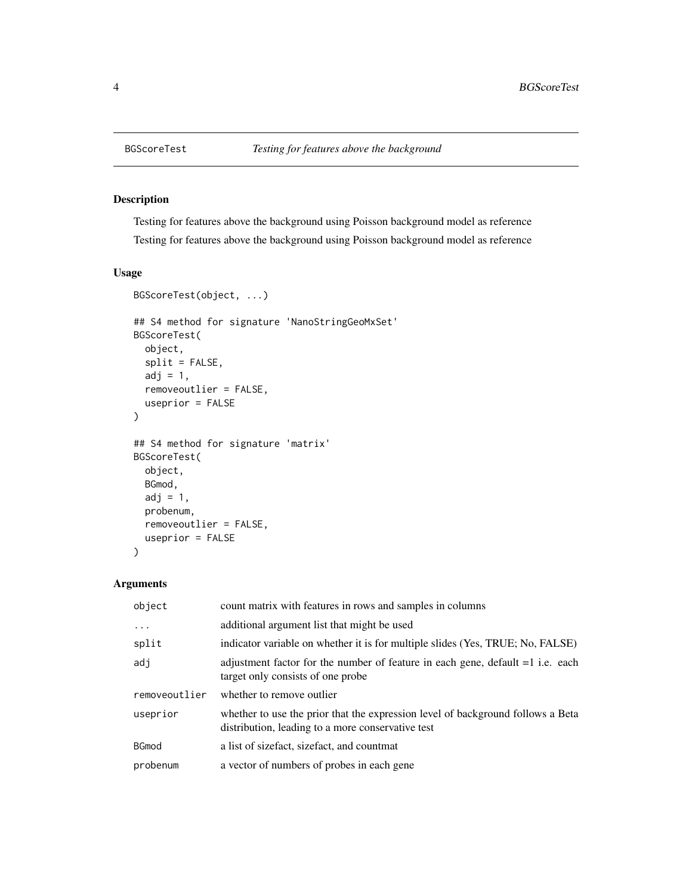<span id="page-3-0"></span>

# Description

Testing for features above the background using Poisson background model as reference Testing for features above the background using Poisson background model as reference

# Usage

```
BGScoreTest(object, ...)
## S4 method for signature 'NanoStringGeoMxSet'
BGScoreTest(
 object,
  split = FALSE,
  adj = 1,removeoutlier = FALSE,
 useprior = FALSE
)
## S4 method for signature 'matrix'
BGScoreTest(
  object,
 BGmod,
 adj = 1,probenum,
  removeoutlier = FALSE,
 useprior = FALSE
)
```

| object        | count matrix with features in rows and samples in columns                                                                            |
|---------------|--------------------------------------------------------------------------------------------------------------------------------------|
| $\ddots$ .    | additional argument list that might be used                                                                                          |
| split         | indicator variable on whether it is for multiple slides (Yes, TRUE; No, FALSE)                                                       |
| adj           | adjustment factor for the number of feature in each gene, default =1 i.e. each<br>target only consists of one probe                  |
| removeoutlier | whether to remove outlier                                                                                                            |
| useprior      | whether to use the prior that the expression level of background follows a Beta<br>distribution, leading to a more conservative test |
| <b>BGmod</b>  | a list of sizefact, sizefact, and countmat                                                                                           |
| probenum      | a vector of numbers of probes in each gene                                                                                           |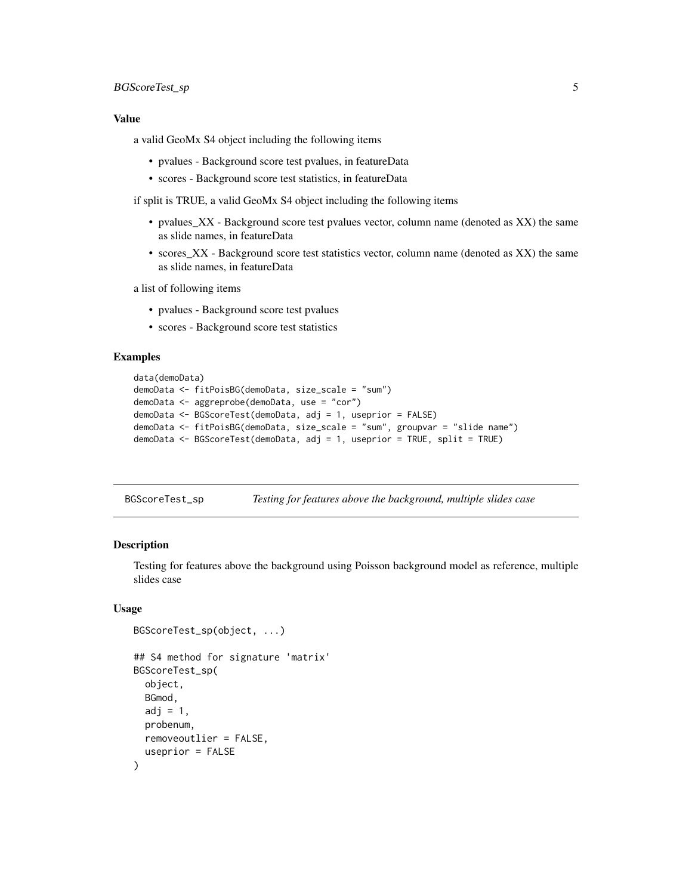#### <span id="page-4-0"></span>Value

a valid GeoMx S4 object including the following items

- pvalues Background score test pvalues, in featureData
- scores Background score test statistics, in featureData

if split is TRUE, a valid GeoMx S4 object including the following items

- pvalues\_XX Background score test pvalues vector, column name (denoted as XX) the same as slide names, in featureData
- scores\_XX Background score test statistics vector, column name (denoted as XX) the same as slide names, in featureData

a list of following items

- pvalues Background score test pvalues
- scores Background score test statistics

# Examples

```
data(demoData)
demoData <- fitPoisBG(demoData, size_scale = "sum")
demoData <- aggreprobe(demoData, use = "cor")
demoData <- BGScoreTest(demoData, adj = 1, useprior = FALSE)
demoData <- fitPoisBG(demoData, size_scale = "sum", groupvar = "slide name")
demoData <- BGScoreTest(demoData, adj = 1, useprior = TRUE, split = TRUE)
```
BGScoreTest\_sp *Testing for features above the background, multiple slides case*

#### **Description**

Testing for features above the background using Poisson background model as reference, multiple slides case

#### Usage

```
BGScoreTest_sp(object, ...)
## S4 method for signature 'matrix'
BGScoreTest_sp(
  object,
 BGmod,
  adj = 1,probenum,
 removeoutlier = FALSE,
  useprior = FALSE
)
```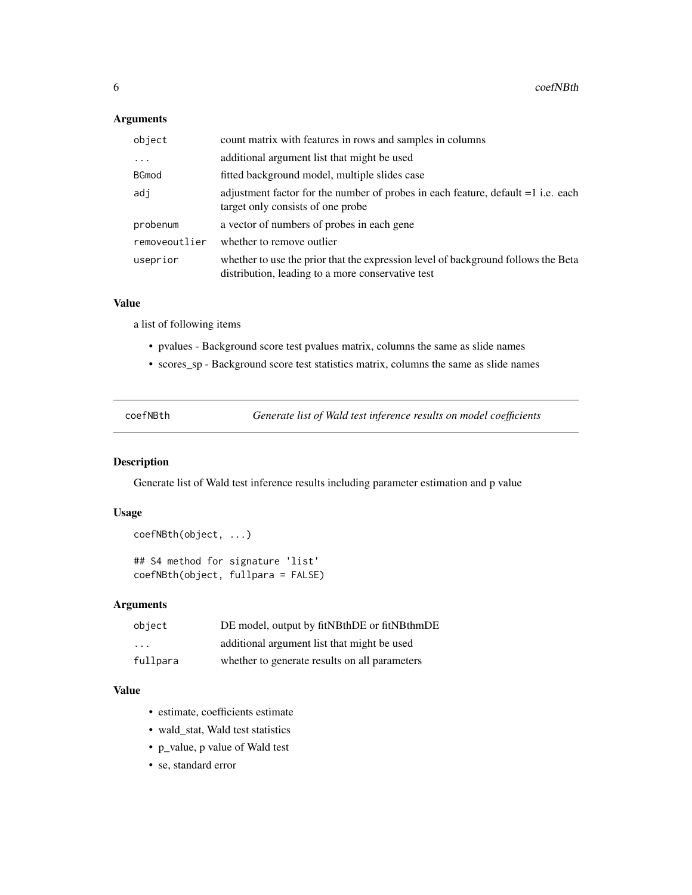# <span id="page-5-0"></span>Arguments

| object        | count matrix with features in rows and samples in columns                                                                              |
|---------------|----------------------------------------------------------------------------------------------------------------------------------------|
| $\ddots$      | additional argument list that might be used                                                                                            |
| <b>BGmod</b>  | fitted background model, multiple slides case                                                                                          |
| adi           | adjustment factor for the number of probes in each feature, default $=1$ i.e. each<br>target only consists of one probe                |
| probenum      | a vector of numbers of probes in each gene                                                                                             |
| removeoutlier | whether to remove outlier                                                                                                              |
| useprior      | whether to use the prior that the expression level of background follows the Beta<br>distribution, leading to a more conservative test |

#### Value

a list of following items

- pvalues Background score test pvalues matrix, columns the same as slide names
- scores\_sp Background score test statistics matrix, columns the same as slide names

| coefNBth | Generate list of Wald test inference results on model coefficients |  |
|----------|--------------------------------------------------------------------|--|
|----------|--------------------------------------------------------------------|--|

# Description

Generate list of Wald test inference results including parameter estimation and p value

#### Usage

```
coefNBth(object, ...)
## S4 method for signature 'list'
coefNBth(object, fullpara = FALSE)
```
#### Arguments

| object                  | DE model, output by fitNBthDE or fitNBthmDE   |
|-------------------------|-----------------------------------------------|
| $\cdot$ $\cdot$ $\cdot$ | additional argument list that might be used   |
| fullpara                | whether to generate results on all parameters |

# Value

- estimate, coefficients estimate
- wald\_stat, Wald test statistics
- p\_value, p value of Wald test
- se, standard error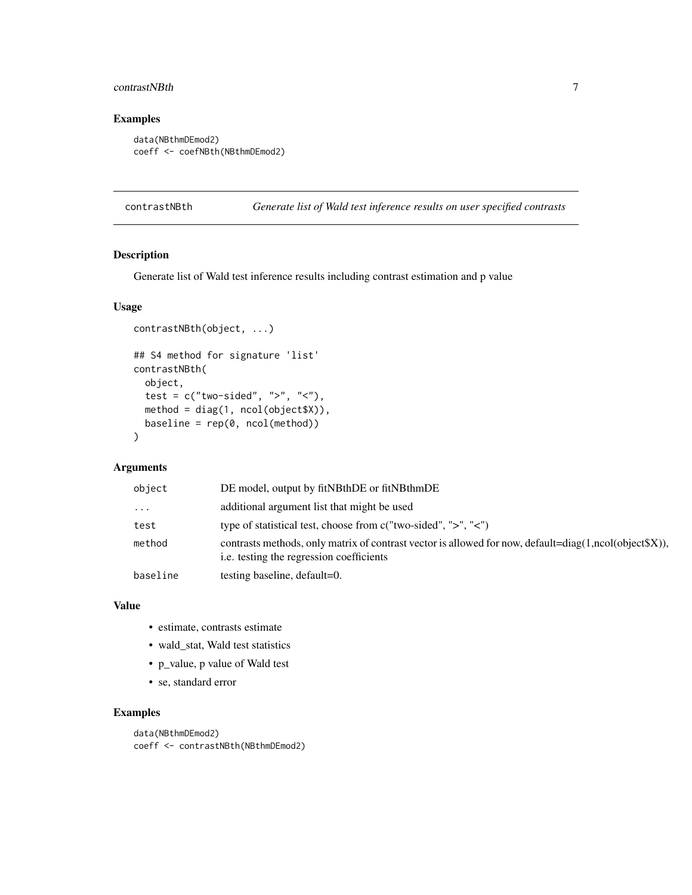# <span id="page-6-0"></span>contrastNBth 7

# Examples

```
data(NBthmDEmod2)
coeff <- coefNBth(NBthmDEmod2)
```
contrastNBth *Generate list of Wald test inference results on user specified contrasts*

# Description

Generate list of Wald test inference results including contrast estimation and p value

#### Usage

```
contrastNBth(object, ...)
## S4 method for signature 'list'
contrastNBth(
 object,
  test = c("two-sided", ">", "<"),
 method = diag(1, ncol(object$X)),
 baseline = rep(0, ncol(method))\mathcal{L}
```
# Arguments

| object   | DE model, output by fitNBthDE or fitNBthmDE                                                                                                           |
|----------|-------------------------------------------------------------------------------------------------------------------------------------------------------|
| .        | additional argument list that might be used                                                                                                           |
| test     | type of statistical test, choose from $c("two-sided", ">", "<")$                                                                                      |
| method   | contrasts methods, only matrix of contrast vector is allowed for now, default=diag(1,ncol(object $(X)$ ),<br>i.e. testing the regression coefficients |
| baseline | testing baseline, default=0.                                                                                                                          |

#### Value

- estimate, contrasts estimate
- wald\_stat, Wald test statistics
- p\_value, p value of Wald test
- se, standard error

# Examples

```
data(NBthmDEmod2)
coeff <- contrastNBth(NBthmDEmod2)
```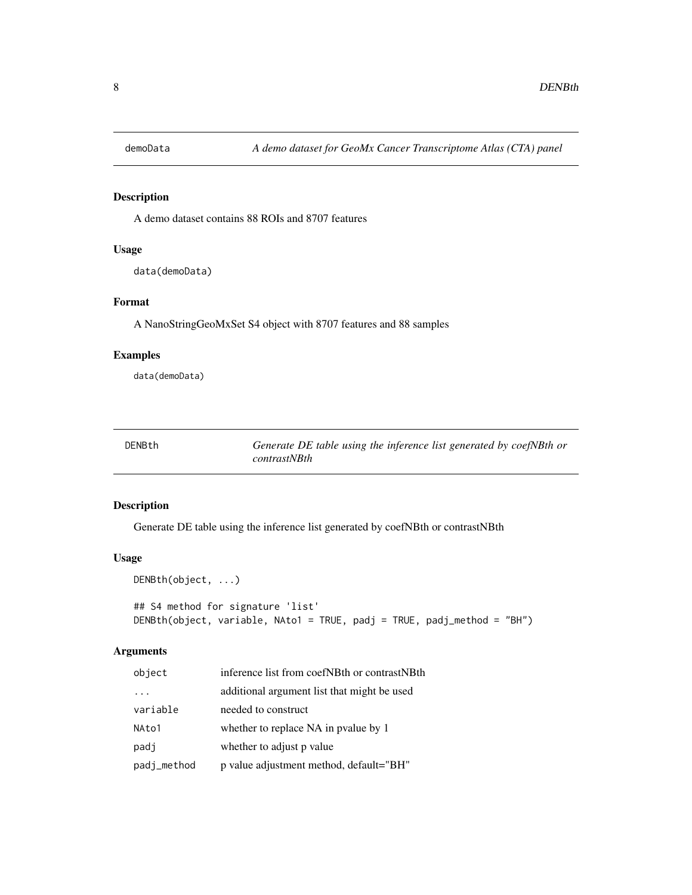<span id="page-7-0"></span>

# Description

A demo dataset contains 88 ROIs and 8707 features

#### Usage

data(demoData)

#### Format

A NanoStringGeoMxSet S4 object with 8707 features and 88 samples

#### Examples

data(demoData)

| DENBth |
|--------|
|--------|

Generate DE table using the inference list generated by coefNBth or *contrastNBth*

# Description

Generate DE table using the inference list generated by coefNBth or contrastNBth

# Usage

```
DENBth(object, ...)
## S4 method for signature 'list'
DENBth(object, variable, NAto1 = TRUE, padj = TRUE, padj_method = "BH")
```

| object      | inference list from coefNBth or contrastNBth |
|-------------|----------------------------------------------|
| $\cdot$     | additional argument list that might be used  |
| variable    | needed to construct                          |
| NAto1       | whether to replace NA in pyalue by 1         |
| padj        | whether to adjust p value                    |
| padj_method | p value adjustment method, default="BH"      |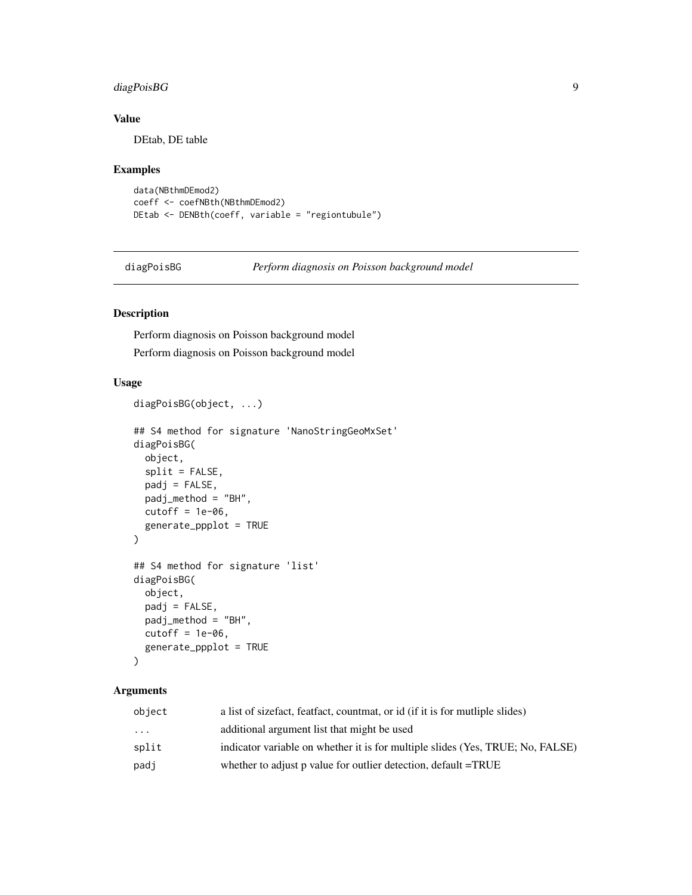# <span id="page-8-0"></span>diagPoisBG 9

# Value

DEtab, DE table

#### Examples

```
data(NBthmDEmod2)
coeff <- coefNBth(NBthmDEmod2)
DEtab <- DENBth(coeff, variable = "regiontubule")
```

```
diagPoisBG Perform diagnosis on Poisson background model
```
#### Description

Perform diagnosis on Poisson background model

Perform diagnosis on Poisson background model

diagPoisBG(object, ...)

#### Usage

```
## S4 method for signature 'NanoStringGeoMxSet'
diagPoisBG(
 object,
  split = FALSE,
 padj = FALSE,
 padj_method = "BH",
 cutoff = 1e-06,generate_ppplot = TRUE
)
## S4 method for signature 'list'
diagPoisBG(
  object,
 padj = FALSE,
 padj_method = "BH",
  cutoff = 1e-06,generate_ppplot = TRUE
)
```

| object    | a list of sizefact, featfact, countmat, or id (if it is for mutliple slides)   |
|-----------|--------------------------------------------------------------------------------|
| $\ddotsc$ | additional argument list that might be used                                    |
| split     | indicator variable on whether it is for multiple slides (Yes, TRUE; No, FALSE) |
| padj      | whether to adjust p value for outlier detection, default =TRUE                 |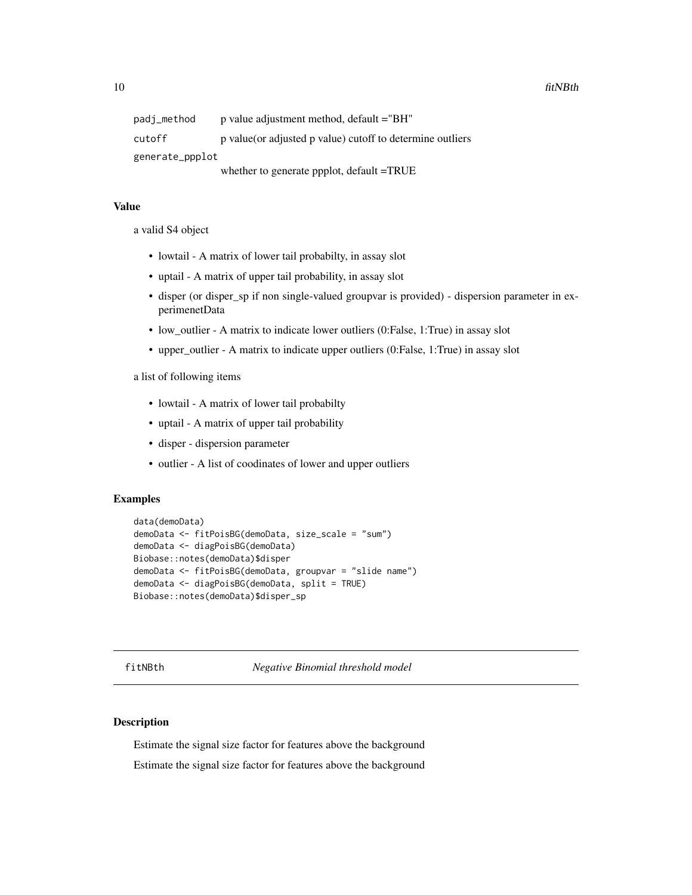<span id="page-9-0"></span>

| padj_method     | p value adjustment method, default = "BH"                  |
|-----------------|------------------------------------------------------------|
| cutoff          | p value (or adjusted p value) cutoff to determine outliers |
| generate_ppplot |                                                            |
|                 | whether to generate ppplot, default =TRUE                  |

#### Value

a valid S4 object

- lowtail A matrix of lower tail probabilty, in assay slot
- uptail A matrix of upper tail probability, in assay slot
- disper (or disper\_sp if non single-valued groupvar is provided) dispersion parameter in experimenetData
- low\_outlier A matrix to indicate lower outliers (0:False, 1:True) in assay slot
- upper\_outlier A matrix to indicate upper outliers (0:False, 1:True) in assay slot

a list of following items

- lowtail A matrix of lower tail probabilty
- uptail A matrix of upper tail probability
- disper dispersion parameter
- outlier A list of coodinates of lower and upper outliers

#### Examples

```
data(demoData)
demoData <- fitPoisBG(demoData, size_scale = "sum")
demoData <- diagPoisBG(demoData)
Biobase::notes(demoData)$disper
demoData <- fitPoisBG(demoData, groupvar = "slide name")
demoData <- diagPoisBG(demoData, split = TRUE)
Biobase::notes(demoData)$disper_sp
```
fitNBth *Negative Binomial threshold model*

#### Description

Estimate the signal size factor for features above the background Estimate the signal size factor for features above the background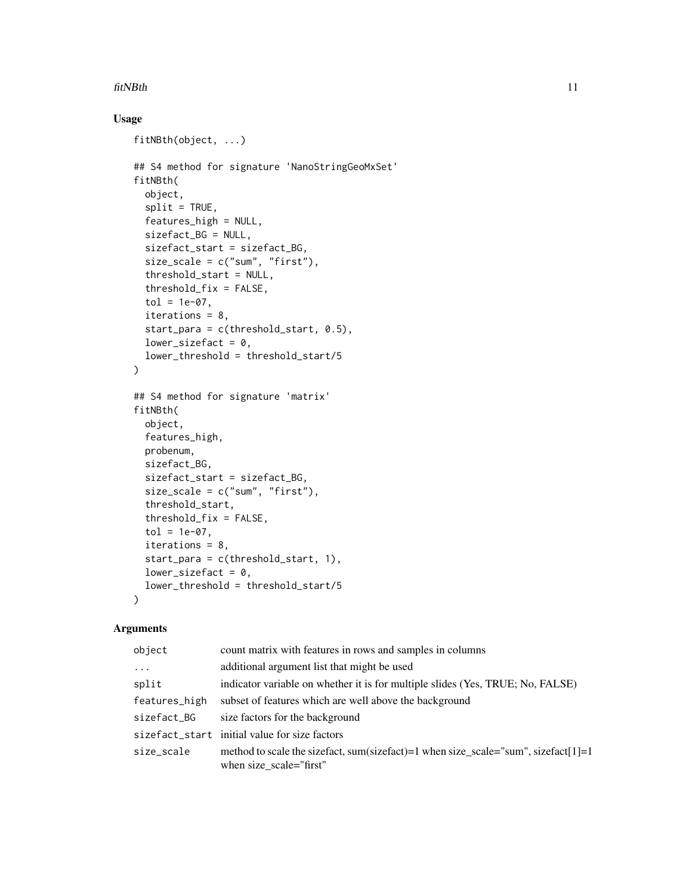#### fitNBth 11

# Usage

```
fitNBth(object, ...)
## S4 method for signature 'NanoStringGeoMxSet'
fitNBth(
  object,
  split = TRUE,
  features_high = NULL,
  sizefact_BG = NULL,
  sizefact_start = sizefact_BG,
  size\_scale = c("sum", "first"),threshold_start = NULL,
  threshold_fix = FALSE,
  tol = 1e-07,iterations = 8,
  start_para = c(threshold_start, 0.5),
  lower_sizefact = 0,
  lower_threshold = threshold_start/5
)
## S4 method for signature 'matrix'
fitNBth(
  object,
  features_high,
 probenum,
  sizefact_BG,
  sizefact_start = sizefact_BG,
  size\_scale = c("sum", "first"),threshold_start,
  threshold_fix = FALSE,
  tol = 1e-07,iterations = 8,
  start_para = c(threshold_start, 1),
  lower_sizefact = 0,
  lower_threshold = threshold_start/5
\lambda
```

| object        | count matrix with features in rows and samples in columns                                                     |
|---------------|---------------------------------------------------------------------------------------------------------------|
| $\ddots$      | additional argument list that might be used                                                                   |
| split         | indicator variable on whether it is for multiple slides (Yes, TRUE; No, FALSE)                                |
| features_high | subset of features which are well above the background                                                        |
| sizefact_BG   | size factors for the background                                                                               |
|               | sizefact_start initial value for size factors                                                                 |
| size_scale    | method to scale the sizefact, sum(sizefact)=1 when size_scale="sum", sizefact[1]=1<br>when size_scale="first" |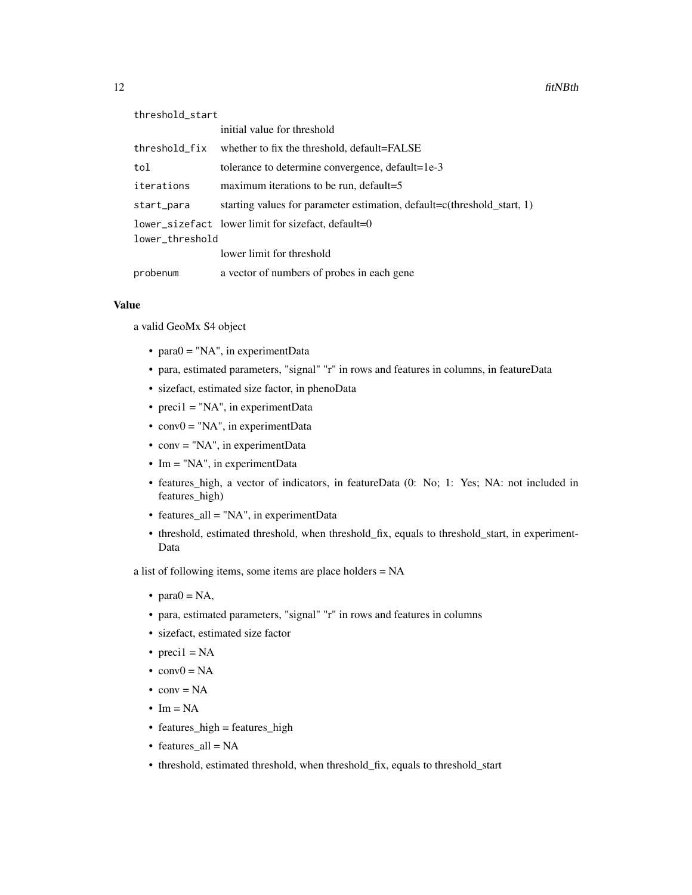| threshold_start |                                                                         |
|-----------------|-------------------------------------------------------------------------|
|                 | initial value for threshold                                             |
| threshold_fix   | whether to fix the threshold, default=FALSE                             |
| tol             | tolerance to determine convergence, default=1e-3                        |
| iterations      | maximum iterations to be run, default=5                                 |
| start_para      | starting values for parameter estimation, default=c(threshold_start, 1) |
|                 | lower_sizefact lower limit for sizefact, default=0                      |
| lower_threshold |                                                                         |
|                 | lower limit for threshold                                               |
| probenum        | a vector of numbers of probes in each gene                              |

#### Value

a valid GeoMx S4 object

- para $0 = "NA"$ , in experimentData
- para, estimated parameters, "signal" "r" in rows and features in columns, in featureData
- sizefact, estimated size factor, in phenoData
- preci $1 = "NA"$ , in experimentData
- $conv0 = "NA", in experimentData$
- conv = "NA", in experimentData
- Im = "NA", in experimentData
- features\_high, a vector of indicators, in featureData (0: No; 1: Yes; NA: not included in features\_high)
- features\_all = "NA", in experimentData
- threshold, estimated threshold, when threshold\_fix, equals to threshold\_start, in experiment-Data

a list of following items, some items are place holders = NA

- para $0 = NA$ ,
- para, estimated parameters, "signal" "r" in rows and features in columns
- sizefact, estimated size factor
- preci $1 = NA$
- $conv0 = NA$
- $conv = NA$
- $Im = NA$
- features\_high = features\_high
- features\_all = NA
- threshold, estimated threshold, when threshold\_fix, equals to threshold\_start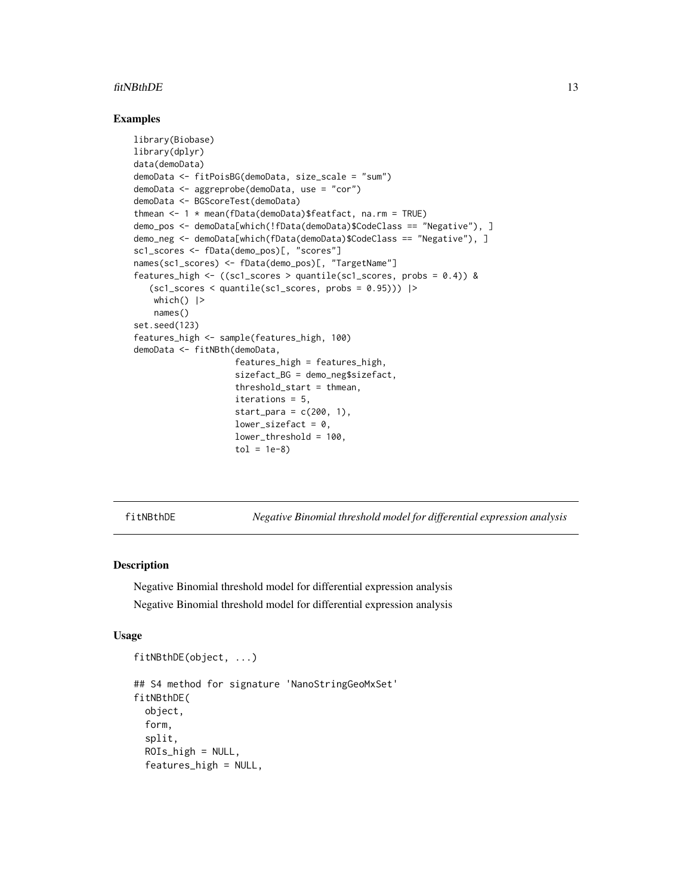#### <span id="page-12-0"></span>fitNBthDE 13

#### Examples

```
library(Biobase)
library(dplyr)
data(demoData)
demoData <- fitPoisBG(demoData, size_scale = "sum")
demoData <- aggreprobe(demoData, use = "cor")
demoData <- BGScoreTest(demoData)
thmean <- 1 * mean(fData(demoData)$featfact, na.rm = TRUE)
demo_pos <- demoData[which(!fData(demoData)$CodeClass == "Negative"), ]
demo_neg <- demoData[which(fData(demoData)$CodeClass == "Negative"), ]
sc1_scores <- fData(demo_pos)[, "scores"]
names(sc1_scores) <- fData(demo_pos)[, "TargetName"]
features_high <- ((sc1_scores > quantile(sc1_scores, probs = 0.4)) &
   (sc1_scores < quantile(sc1_scores, probs = 0.95))) |>
   which() |>
   names()
set.seed(123)
features_high <- sample(features_high, 100)
demoData <- fitNBth(demoData,
                    features_high = features_high,
                    sizefact_BG = demo_neg$sizefact,
                    threshold_start = thmean,
                    iterations = 5,
                    start_para = c(200, 1),
                    lower_sizefact = 0,
                    lower_threshold = 100,
                    tol = 1e-8
```
fitNBthDE *Negative Binomial threshold model for differential expression analysis*

#### **Description**

fitNBthDE(object, ...)

Negative Binomial threshold model for differential expression analysis Negative Binomial threshold model for differential expression analysis

#### Usage

```
## S4 method for signature 'NanoStringGeoMxSet'
fitNBthDE(
  object,
  form,
  split,
  ROIs_high = NULL,
  features_high = NULL,
```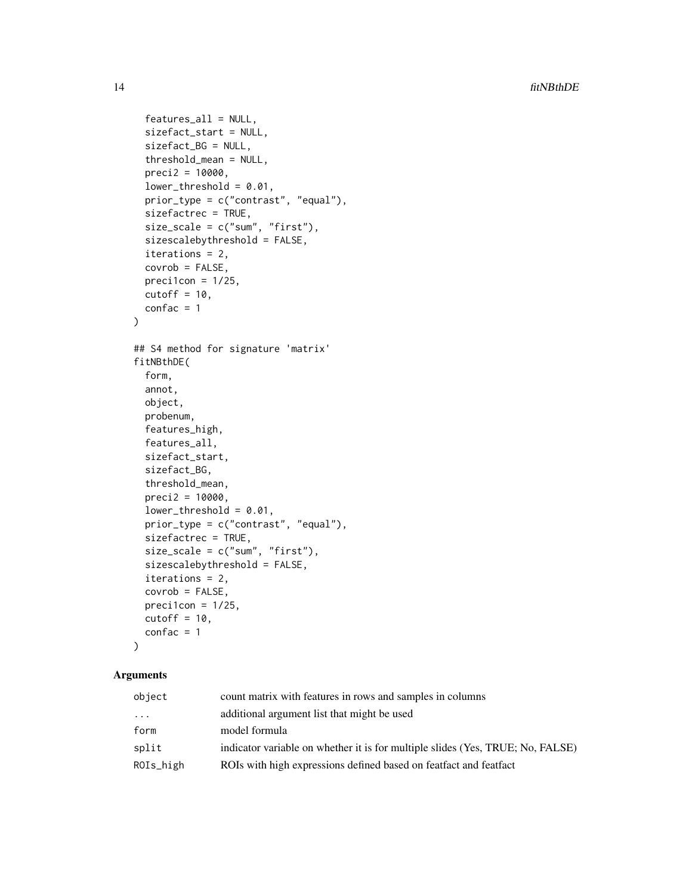```
features_all = NULL,
  sizefact_start = NULL,
  sizefact_BG = NULL,
  threshold_mean = NULL,
  preci2 = 10000,lower_threshold = 0.01,
  prior_type = c("contrast", "equal"),
  sizefactrec = TRUE,
  size_scale = c("sum", "first"),
  sizescalebythreshold = FALSE,
  iterations = 2,
  covrob = FALSE,precision = 1/25,
 cutoff = 10,
 confac = 1)
## S4 method for signature 'matrix'
fitNBthDE(
  form,
  annot,
  object,
  probenum,
  features_high,
  features_all,
  sizefact_start,
  sizefact_BG,
  threshold_mean,
  preci2 = 10000,lower_{threshold} = 0.01,prior_type = c("contrast", "equal"),
  sizefactrec = TRUE,
  size_scale = c("sum", "first"),
  sizescalebythreshold = FALSE,
  iterations = 2,
  covrob = FALSE,
 precifcon = <math>1/25</math>,cutoff = 10,
  confac = 1\mathcal{L}
```

| object              | count matrix with features in rows and samples in columns                      |
|---------------------|--------------------------------------------------------------------------------|
| $\cdot \cdot \cdot$ | additional argument list that might be used                                    |
| form                | model formula                                                                  |
| split               | indicator variable on whether it is for multiple slides (Yes, TRUE; No, FALSE) |
| ROIs_high           | ROIs with high expressions defined based on featfact and featfact              |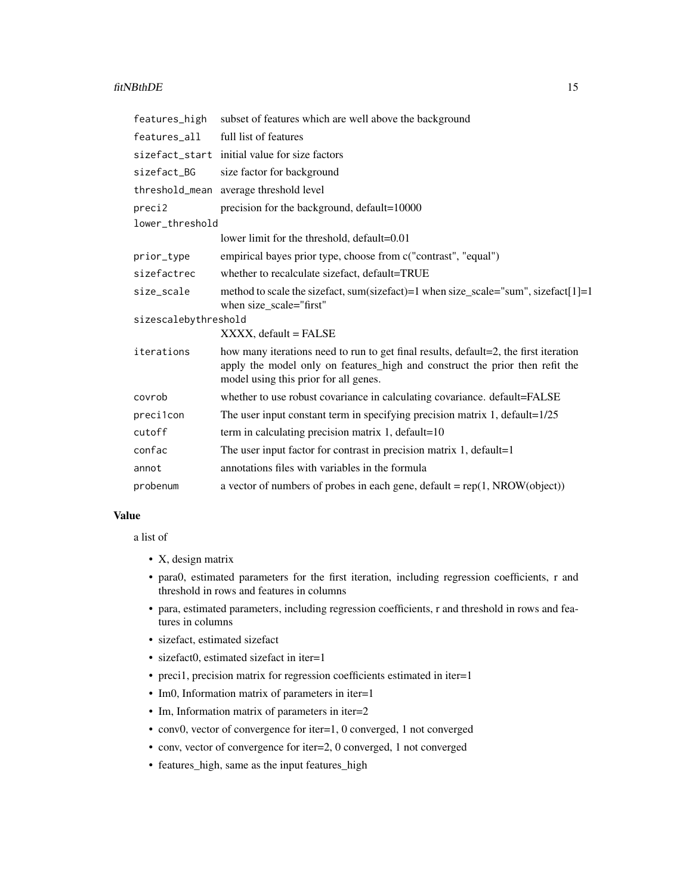#### fitNBthDE 15

| features_high        | subset of features which are well above the background                                                                                                                                                        |
|----------------------|---------------------------------------------------------------------------------------------------------------------------------------------------------------------------------------------------------------|
| features_all         | full list of features                                                                                                                                                                                         |
|                      | sizefact_start initial value for size factors                                                                                                                                                                 |
| sizefact_BG          | size factor for background                                                                                                                                                                                    |
| threshold_mean       | average threshold level                                                                                                                                                                                       |
| preci2               | precision for the background, default=10000                                                                                                                                                                   |
| lower_threshold      |                                                                                                                                                                                                               |
|                      | lower limit for the threshold, default=0.01                                                                                                                                                                   |
| prior_type           | empirical bayes prior type, choose from c("contrast", "equal")                                                                                                                                                |
| sizefactrec          | whether to recalculate sizefact, default=TRUE                                                                                                                                                                 |
| size_scale           | method to scale the sizefact, sum(sizefact)=1 when size_scale="sum", sizefact[1]=1<br>when size_scale="first"                                                                                                 |
| sizescalebythreshold |                                                                                                                                                                                                               |
|                      | XXXX, default = FALSE                                                                                                                                                                                         |
| iterations           | how many iterations need to run to get final results, default=2, the first iteration<br>apply the model only on features_high and construct the prior then refit the<br>model using this prior for all genes. |
| covrob               | whether to use robust covariance in calculating covariance. default=FALSE                                                                                                                                     |
| preci1con            | The user input constant term in specifying precision matrix 1, default= $1/25$                                                                                                                                |
| cutoff               | term in calculating precision matrix 1, default=10                                                                                                                                                            |
| confac               | The user input factor for contrast in precision matrix 1, default=1                                                                                                                                           |
| annot                | annotations files with variables in the formula                                                                                                                                                               |
| probenum             | a vector of numbers of probes in each gene, $default = rep(1, NROW(object))$                                                                                                                                  |

#### Value

a list of

- X, design matrix
- para0, estimated parameters for the first iteration, including regression coefficients, r and threshold in rows and features in columns
- para, estimated parameters, including regression coefficients, r and threshold in rows and features in columns
- sizefact, estimated sizefact
- sizefact0, estimated sizefact in iter=1
- preci1, precision matrix for regression coefficients estimated in iter=1
- Im0, Information matrix of parameters in iter=1
- Im, Information matrix of parameters in iter=2
- conv0, vector of convergence for iter=1, 0 converged, 1 not converged
- conv, vector of convergence for iter=2, 0 converged, 1 not converged
- features\_high, same as the input features\_high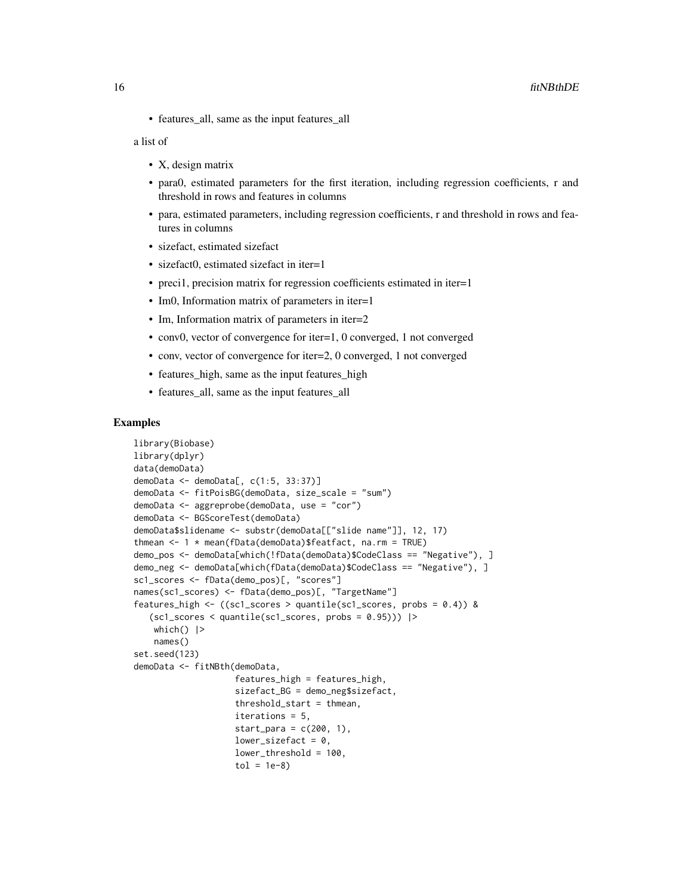• features\_all, same as the input features\_all

a list of

- X, design matrix
- para0, estimated parameters for the first iteration, including regression coefficients, r and threshold in rows and features in columns
- para, estimated parameters, including regression coefficients, r and threshold in rows and features in columns
- sizefact, estimated sizefact
- sizefact0, estimated sizefact in iter=1
- precil, precision matrix for regression coefficients estimated in iter=1
- Im0, Information matrix of parameters in iter=1
- Im, Information matrix of parameters in iter=2
- conv0, vector of convergence for iter=1, 0 converged, 1 not converged
- conv, vector of convergence for iter=2, 0 converged, 1 not converged
- features\_high, same as the input features\_high
- features\_all, same as the input features\_all

#### Examples

```
library(Biobase)
library(dplyr)
data(demoData)
demoData <- demoData[, c(1:5, 33:37)]
demoData <- fitPoisBG(demoData, size_scale = "sum")
demoData <- aggreprobe(demoData, use = "cor")
demoData <- BGScoreTest(demoData)
demoData$slidename <- substr(demoData[["slide name"]], 12, 17)
thmean <- 1 * mean(fData(demoData)$featfact, na.rm = TRUE)
demo_pos <- demoData[which(!fData(demoData)$CodeClass == "Negative"), ]
demo_neg <- demoData[which(fData(demoData)$CodeClass == "Negative"), ]
sc1_scores <- fData(demo_pos)[, "scores"]
names(sc1_scores) <- fData(demo_pos)[, "TargetName"]
features_high <- ((sc1_scores > quantile(sc1_scores, probs = 0.4)) &
   (sc1_scores < quantile(sc1_scores, probs = 0.95))) |>
   which() |>names()
set.seed(123)
demoData <- fitNBth(demoData,
                    features_high = features_high,
                    sizefact_BG = demo_neg$sizefact,
                    threshold_start = thmean,
                    iterations = 5,
                    start_para = c(200, 1),
                    lower_sizefact = 0,
                    lower_threshold = 100,
                    tol = 1e-8
```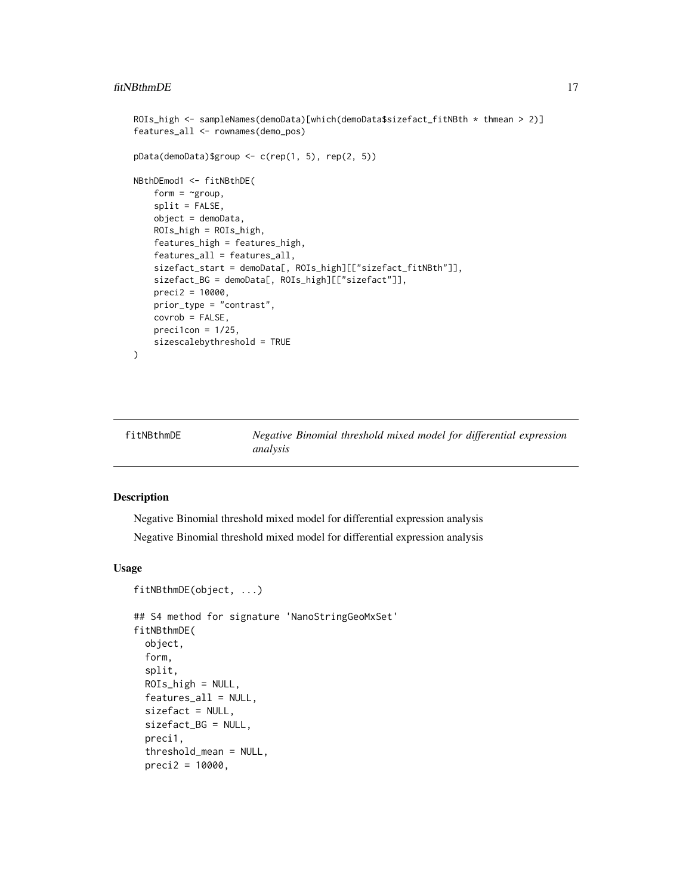#### <span id="page-16-0"></span>fitNBthmDE 17

```
ROIs_high <- sampleNames(demoData)[which(demoData$sizefact_fitNBth * thmean > 2)]
features_all <- rownames(demo_pos)
pData(demoData)$group <- c(rep(1, 5), rep(2, 5))
NBthDEmod1 <- fitNBthDE(
    form = \simgroup,
   split = FALSE,
   object = demoData,
   ROIs_high = ROIs_high,
    features_high = features_high,
    features_all = features_all,
    sizefact_start = demoData[, ROIs_high][["sizefact_fitNBth"]],
    sizefact_BG = demoData[, ROIs_high][["sizefact"]],
    preci2 = 10000,
   prior_type = "contrast",
   covrob = FALSE,
   precision = 1/25,
    sizescalebythreshold = TRUE
\mathcal{L}
```
fitNBthmDE *Negative Binomial threshold mixed model for differential expression analysis*

#### Description

Negative Binomial threshold mixed model for differential expression analysis Negative Binomial threshold mixed model for differential expression analysis

# Usage

```
fitNBthmDE(object, ...)
## S4 method for signature 'NanoStringGeoMxSet'
fitNBthmDE(
  object,
  form,
  split,
  ROIs_high = NULL,
  features_all = NULL,
  sizefact = NULL,
  sizefact_BG = NULL,
  preci1,
  threshold_mean = NULL,
  preci2 = 10000,
```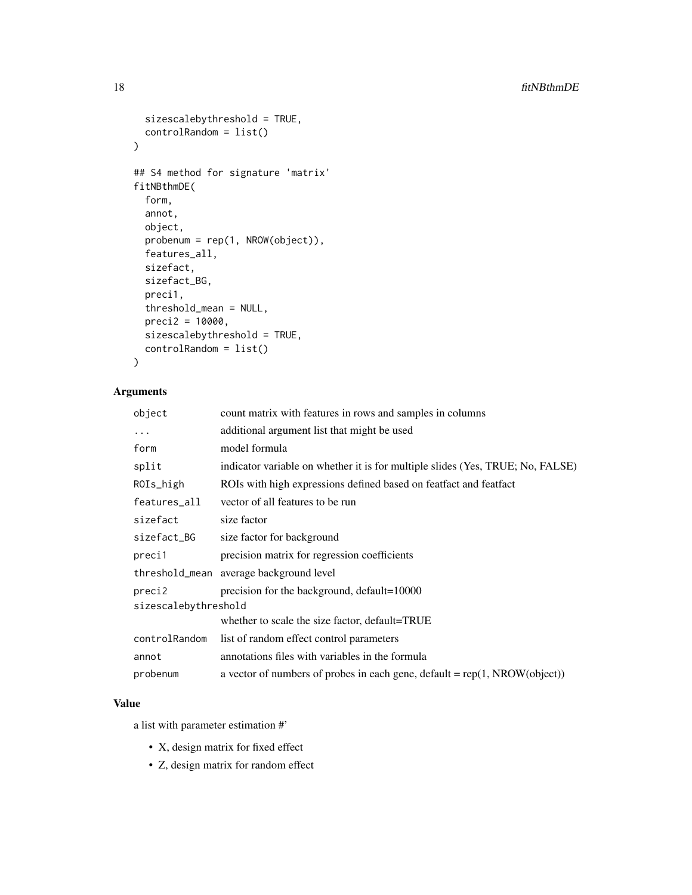```
sizescalebythreshold = TRUE,
 controlRandom = list()
\mathcal{L}## S4 method for signature 'matrix'
fitNBthmDE(
  form,
  annot,
 object,
 probenum = rep(1, NROW(object)),
  features_all,
  sizefact,
  sizefact_BG,
 preci1,
  threshold_mean = NULL,
  preci2 = 10000,sizescalebythreshold = TRUE,
  controlRandom = list()
\mathcal{L}
```
# Arguments

| object               | count matrix with features in rows and samples in columns                      |  |
|----------------------|--------------------------------------------------------------------------------|--|
| $\ddots$             | additional argument list that might be used                                    |  |
| form                 | model formula                                                                  |  |
| split                | indicator variable on whether it is for multiple slides (Yes, TRUE; No, FALSE) |  |
| ROIs_high            | ROIs with high expressions defined based on featfact and featfact              |  |
| features_all         | vector of all features to be run                                               |  |
| sizefact             | size factor                                                                    |  |
| sizefact_BG          | size factor for background                                                     |  |
| preci1               | precision matrix for regression coefficients                                   |  |
|                      | threshold_mean average background level                                        |  |
| preci2               | precision for the background, default=10000                                    |  |
| sizescalebythreshold |                                                                                |  |
|                      | whether to scale the size factor, default=TRUE                                 |  |
| controlRandom        | list of random effect control parameters                                       |  |
| annot                | annotations files with variables in the formula                                |  |
| probenum             | a vector of numbers of probes in each gene, $default = rep(1, NROW(object))$   |  |

### Value

a list with parameter estimation #'

- X, design matrix for fixed effect
- Z, design matrix for random effect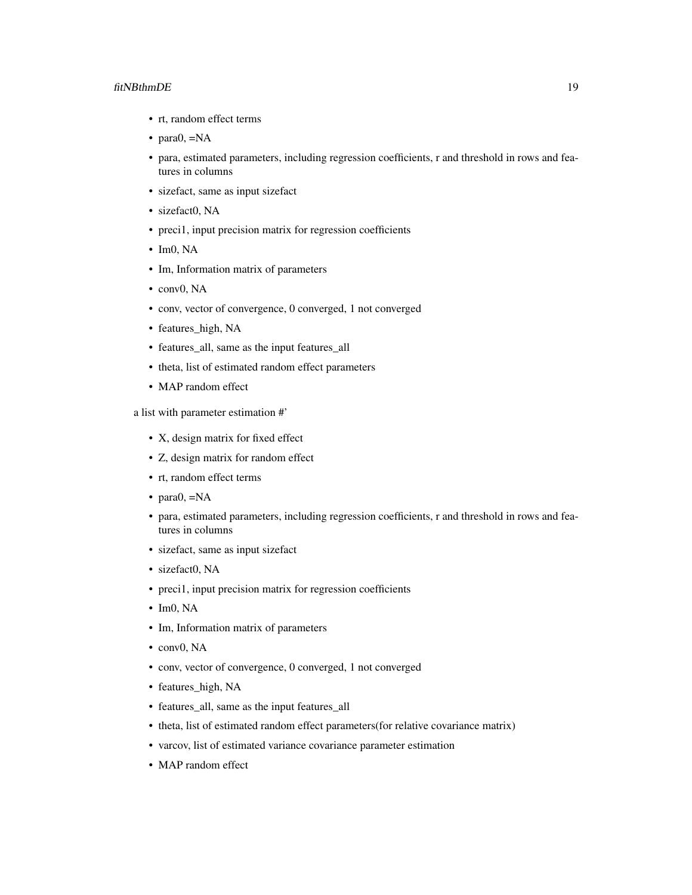#### fitNBthmDE 19

- rt, random effect terms
- para0, =NA
- para, estimated parameters, including regression coefficients, r and threshold in rows and features in columns
- sizefact, same as input sizefact
- sizefact0, NA
- preci1, input precision matrix for regression coefficients
- $\cdot$  Im<sub>0</sub>, N<sub>A</sub>
- Im, Information matrix of parameters
- conv0, NA
- conv, vector of convergence, 0 converged, 1 not converged
- features\_high, NA
- features\_all, same as the input features\_all
- theta, list of estimated random effect parameters
- MAP random effect

a list with parameter estimation #'

- X, design matrix for fixed effect
- Z, design matrix for random effect
- rt, random effect terms
- para0,  $=NA$
- para, estimated parameters, including regression coefficients, r and threshold in rows and features in columns
- sizefact, same as input sizefact
- sizefact0, NA
- preci1, input precision matrix for regression coefficients
- Im0, NA
- Im, Information matrix of parameters
- conv0, NA
- conv, vector of convergence, 0 converged, 1 not converged
- features\_high, NA
- features\_all, same as the input features\_all
- theta, list of estimated random effect parameters(for relative covariance matrix)
- varcov, list of estimated variance covariance parameter estimation
- MAP random effect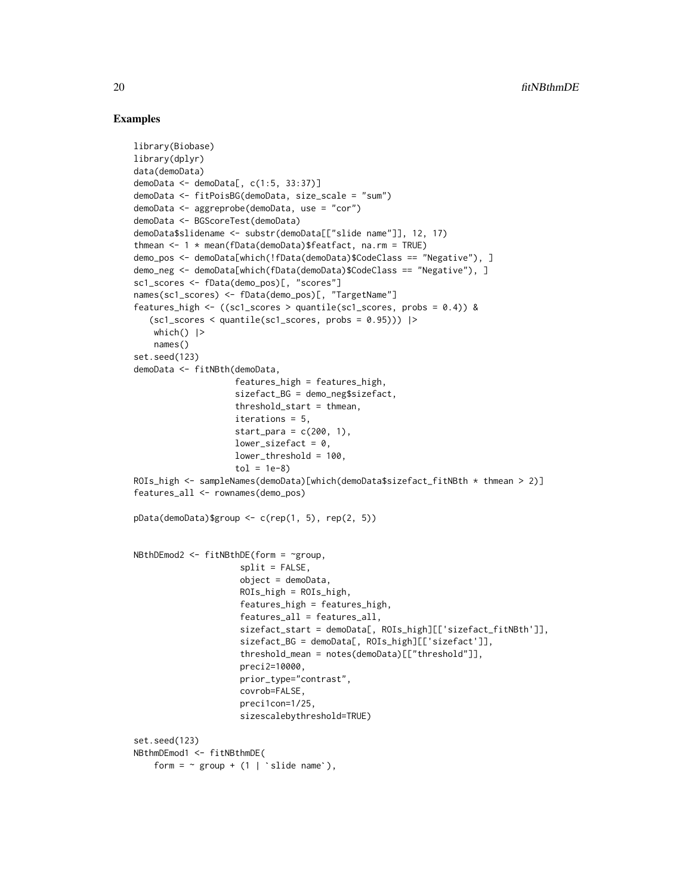#### Examples

```
library(Biobase)
library(dplyr)
data(demoData)
demoData <- demoData[, c(1:5, 33:37)]
demoData <- fitPoisBG(demoData, size_scale = "sum")
demoData <- aggreprobe(demoData, use = "cor")
demoData <- BGScoreTest(demoData)
demoData$slidename <- substr(demoData[["slide name"]], 12, 17)
thmean <- 1 * mean(fData(demoData)$featfact, na.rm = TRUE)
demo_pos <- demoData[which(!fData(demoData)$CodeClass == "Negative"), ]
demo_neg <- demoData[which(fData(demoData)$CodeClass == "Negative"), ]
sc1_scores <- fData(demo_pos)[, "scores"]
names(sc1_scores) <- fData(demo_pos)[, "TargetName"]
features_high \leq ((sc1_scores > quantile(sc1_scores, probs = 0.4)) &
   (sc1_scores < quantile(sc1_scores, probs = 0.95))) |>
    which() |>
   names()
set.seed(123)
demoData <- fitNBth(demoData,
                    features_high = features_high,
                    sizefact_BG = demo_neg$sizefact,
                    threshold_start = thmean,
                    iterations = 5,
                    start_para = c(200, 1),
                    lower_sizefact = 0,
                    lower_threshold = 100,
                    tol = 1e-8ROIs_high <- sampleNames(demoData)[which(demoData$sizefact_fitNBth * thmean > 2)]
features_all <- rownames(demo_pos)
pData(demoData)$group <- c(rep(1, 5), rep(2, 5))
NBthDEmod2 <- fitNBthDE(form = ~group,
                     split = FALSE,object = demoData,
                     ROIs_high = ROIs_high,
                     features_high = features_high,
                     features_all = features_all,
                     sizefact_start = demoData[, ROIs_high][['sizefact_fitNBth']],
                     sizefact_BG = demoData[, ROIs_high][['sizefact']],
                     threshold_mean = notes(demoData)[["threshold"]],
                     preci2=10000,
                     prior_type="contrast",
                     covrob=FALSE,
                     preci1con=1/25,
                     sizescalebythreshold=TRUE)
set.seed(123)
NBthmDEmod1 <- fitNBthmDE(
    form = \sim group + (1 | `slide name`),
```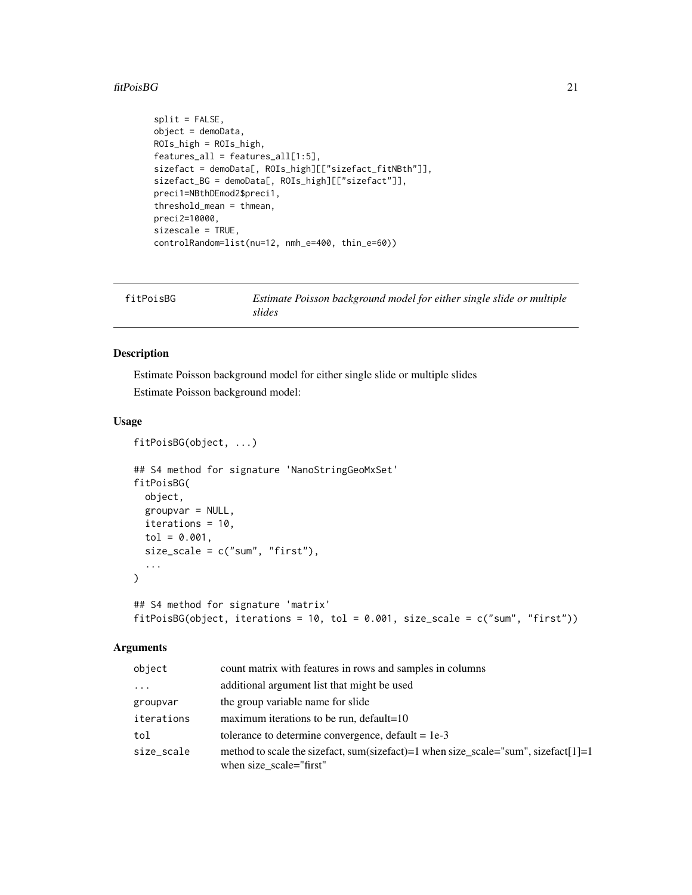#### <span id="page-20-0"></span>fitPoisBG 21

```
split = FALSE,
object = demoData,
ROIs_high = ROIs_high,
features\_all = features\_all[1:5],sizefact = demoData[, ROIs_high][["sizefact_fitNBth"]],
sizefact_BG = demoData[, ROIs_high][["sizefact"]],
preci1=NBthDEmod2$preci1,
threshold_mean = thmean,
preci2=10000,
sizescale = TRUE,
controlRandom=list(nu=12, nmh_e=400, thin_e=60))
```

| fitPoisBG | Estimate Poisson background model for either single slide or multiple |
|-----------|-----------------------------------------------------------------------|
|           | slides                                                                |

### Description

Estimate Poisson background model for either single slide or multiple slides Estimate Poisson background model:

#### Usage

```
fitPoisBG(object, ...)
## S4 method for signature 'NanoStringGeoMxSet'
fitPoisBG(
 object,
 groupvar = NULL,
 iterations = 10,
  tol = 0.001,size_scale = c("sum", "first"),...
\mathcal{L}## S4 method for signature 'matrix'
fitPoisBG(object, iterations = 10, tol = 0.001, size_scale = c("sum", "first"))
```

| object     | count matrix with features in rows and samples in columns                                                     |
|------------|---------------------------------------------------------------------------------------------------------------|
| $\ddots$   | additional argument list that might be used                                                                   |
| groupvar   | the group variable name for slide                                                                             |
| iterations | maximum iterations to be run, default=10                                                                      |
| tol        | tolerance to determine convergence, default $= 1e-3$                                                          |
| size_scale | method to scale the sizefact, sum(sizefact)=1 when size_scale="sum", sizefact[1]=1<br>when size scale="first" |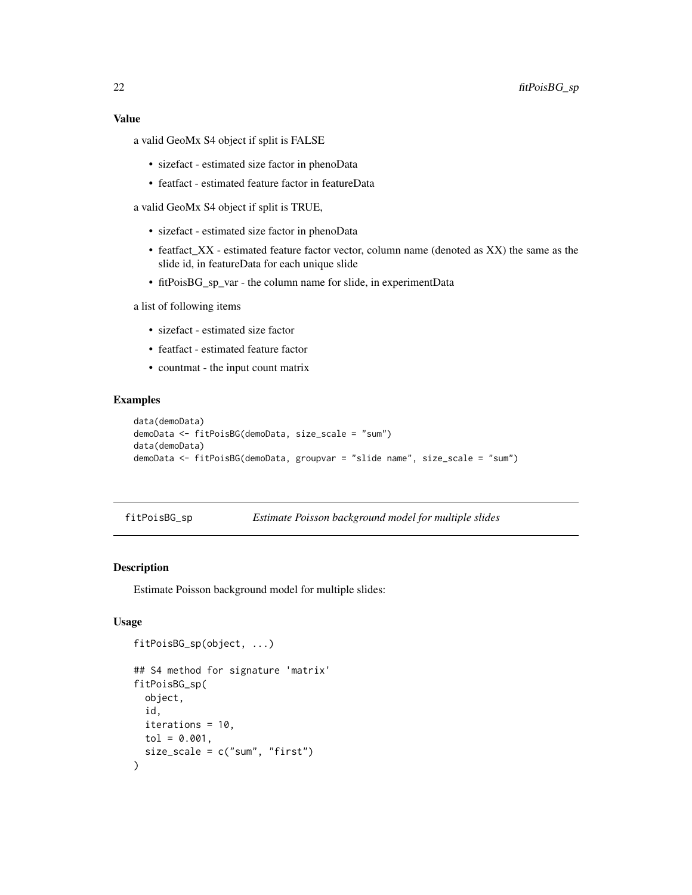#### <span id="page-21-0"></span>Value

a valid GeoMx S4 object if split is FALSE

- sizefact estimated size factor in phenoData
- featfact estimated feature factor in featureData

a valid GeoMx S4 object if split is TRUE,

- sizefact estimated size factor in phenoData
- featfact XX estimated feature factor vector, column name (denoted as XX) the same as the slide id, in featureData for each unique slide
- fitPoisBG\_sp\_var the column name for slide, in experimentData

a list of following items

- sizefact estimated size factor
- featfact estimated feature factor
- countmat the input count matrix

#### Examples

```
data(demoData)
demoData <- fitPoisBG(demoData, size_scale = "sum")
data(demoData)
demoData <- fitPoisBG(demoData, groupvar = "slide name", size_scale = "sum")
```
fitPoisBG\_sp *Estimate Poisson background model for multiple slides*

# Description

Estimate Poisson background model for multiple slides:

# Usage

```
fitPoisBG_sp(object, ...)
## S4 method for signature 'matrix'
fitPoisBG_sp(
  object,
  id,
  iterations = 10,
 tol = 0.001,size_scale = c("sum", "first")
)
```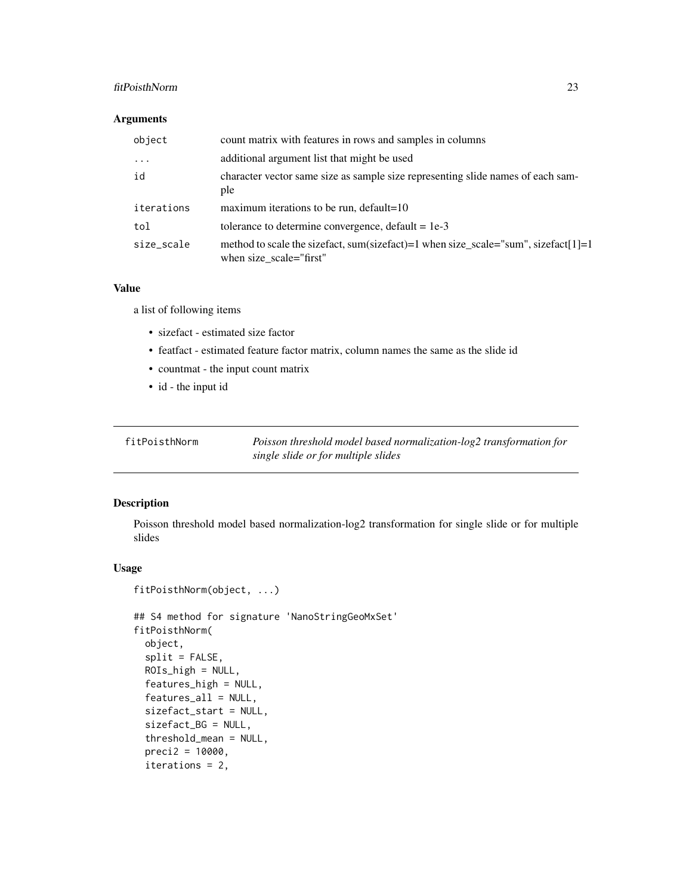#### <span id="page-22-0"></span>fitPoisthNorm 23

#### Arguments

| object     | count matrix with features in rows and samples in columns                                                     |
|------------|---------------------------------------------------------------------------------------------------------------|
| $\cdots$   | additional argument list that might be used                                                                   |
| id         | character vector same size as sample size representing slide names of each sam-<br>ple                        |
| iterations | maximum iterations to be run, default=10                                                                      |
| tol        | tolerance to determine convergence, default $= 1e-3$                                                          |
| size_scale | method to scale the sizefact, sum(sizefact)=1 when size scale="sum", sizefact[1]=1<br>when size scale="first" |

#### Value

a list of following items

- sizefact estimated size factor
- featfact estimated feature factor matrix, column names the same as the slide id
- countmat the input count matrix
- id the input id

fitPoisthNorm *Poisson threshold model based normalization-log2 transformation for single slide or for multiple slides*

# Description

Poisson threshold model based normalization-log2 transformation for single slide or for multiple slides

#### Usage

```
fitPoisthNorm(object, ...)
```

```
## S4 method for signature 'NanoStringGeoMxSet'
fitPoisthNorm(
  object,
  split = FALSE,
 ROIs_high = NULL,
  features_high = NULL,
  features_all = NULL,sizefact_start = NULL,
  sizefact_BG = NULL,
  threshold_mean = NULL,
  preci2 = 10000,
  iterations = 2,
```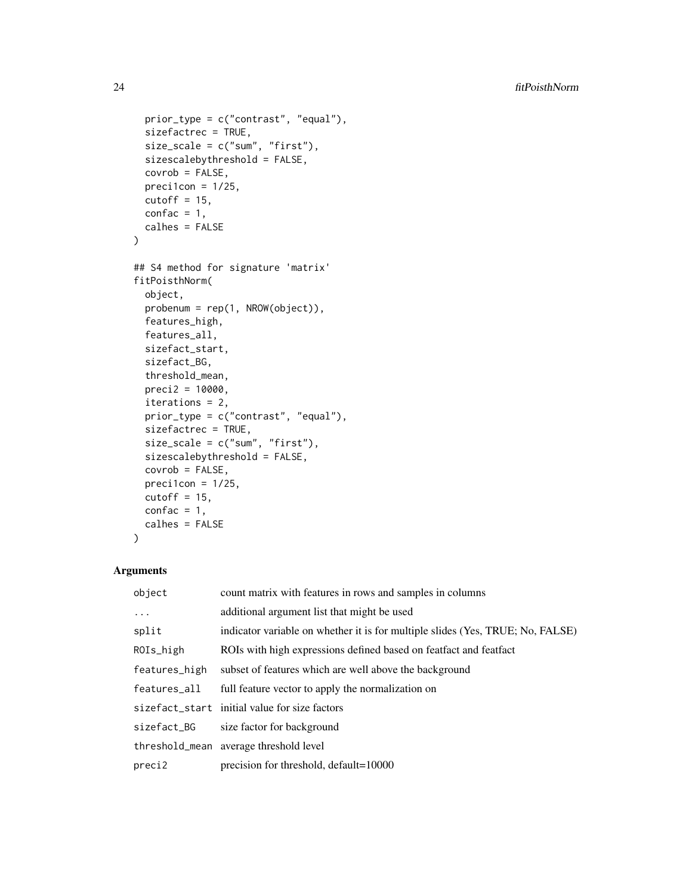```
prior_type = c("contrast", "equal"),
 sizefactrec = TRUE,
 size\_scale = c("sum", "first"),sizescalebythreshold = FALSE,
  covrob = FALSE,precision = 1/25,
 cutoff = 15,
 confac = 1,
 calhes = FALSE
)
## S4 method for signature 'matrix'
fitPoisthNorm(
 object,
 probenum = rep(1, NROW(object)),
  features_high,
 features_all,
 sizefact_start,
 sizefact_BG,
  threshold_mean,
 preci2 = 10000,
 iterations = 2,
 prior_type = c("contrast", "equal"),
 sizefactrec = TRUE,
 size\_scale = c("sum", "first"),sizescalebythreshold = FALSE,
 covrob = FALSE,precision = 1/25,
 cutoff = 15,
 confac = 1,
 calhes = FALSE
```
 $\mathcal{L}$ 

| object        | count matrix with features in rows and samples in columns                      |
|---------------|--------------------------------------------------------------------------------|
| .             | additional argument list that might be used                                    |
| split         | indicator variable on whether it is for multiple slides (Yes, TRUE; No, FALSE) |
| ROIs_high     | ROIs with high expressions defined based on featfact and featfact              |
| features_high | subset of features which are well above the background                         |
| features_all  | full feature vector to apply the normalization on                              |
|               | sizefact start initial value for size factors                                  |
| sizefact_BG   | size factor for background                                                     |
|               | threshold_mean average threshold level                                         |
| preci2        | precision for threshold, default=10000                                         |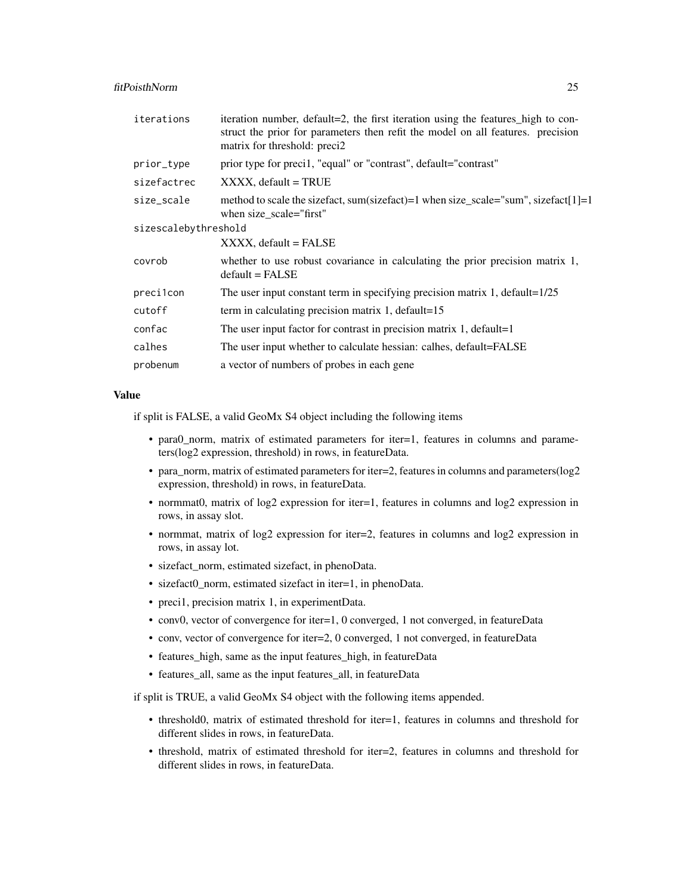fitPoisthNorm 25

| iterations           | iteration number, default=2, the first iteration using the features_high to con-<br>struct the prior for parameters then refit the model on all features. precision<br>matrix for threshold: preci2 |  |
|----------------------|-----------------------------------------------------------------------------------------------------------------------------------------------------------------------------------------------------|--|
| prior_type           | prior type for precil, "equal" or "contrast", default="contrast"                                                                                                                                    |  |
| sizefactrec          | XXXX, default = TRUE                                                                                                                                                                                |  |
| size_scale           | method to scale the sizefact, sum(sizefact)=1 when size_scale="sum", sizefact[1]=1<br>when size_scale="first"                                                                                       |  |
| sizescalebythreshold |                                                                                                                                                                                                     |  |
|                      | $XXXX$ , default = FALSE                                                                                                                                                                            |  |
| covrob               | whether to use robust covariance in calculating the prior precision matrix 1,<br>$default = FALSE$                                                                                                  |  |
| preci1con            | The user input constant term in specifying precision matrix 1, default= $1/25$                                                                                                                      |  |
| cutoff               | term in calculating precision matrix 1, default=15                                                                                                                                                  |  |
| confac               | The user input factor for contrast in precision matrix 1, default=1                                                                                                                                 |  |
| calhes               | The user input whether to calculate hessian: calhes, default=FALSE                                                                                                                                  |  |
| probenum             | a vector of numbers of probes in each gene                                                                                                                                                          |  |

#### Value

if split is FALSE, a valid GeoMx S4 object including the following items

- para0\_norm, matrix of estimated parameters for iter=1, features in columns and parameters(log2 expression, threshold) in rows, in featureData.
- para\_norm, matrix of estimated parameters for iter=2, features in columns and parameters(log2 expression, threshold) in rows, in featureData.
- normmat0, matrix of log2 expression for iter=1, features in columns and log2 expression in rows, in assay slot.
- normmat, matrix of log2 expression for iter=2, features in columns and log2 expression in rows, in assay lot.
- sizefact\_norm, estimated sizefact, in phenoData.
- sizefact0\_norm, estimated sizefact in iter=1, in phenoData.
- preci1, precision matrix 1, in experimentData.
- conv0, vector of convergence for iter=1, 0 converged, 1 not converged, in featureData
- conv, vector of convergence for iter=2, 0 converged, 1 not converged, in featureData
- features\_high, same as the input features\_high, in featureData
- features all, same as the input features all, in featureData

if split is TRUE, a valid GeoMx S4 object with the following items appended.

- threshold0, matrix of estimated threshold for iter=1, features in columns and threshold for different slides in rows, in featureData.
- threshold, matrix of estimated threshold for iter=2, features in columns and threshold for different slides in rows, in featureData.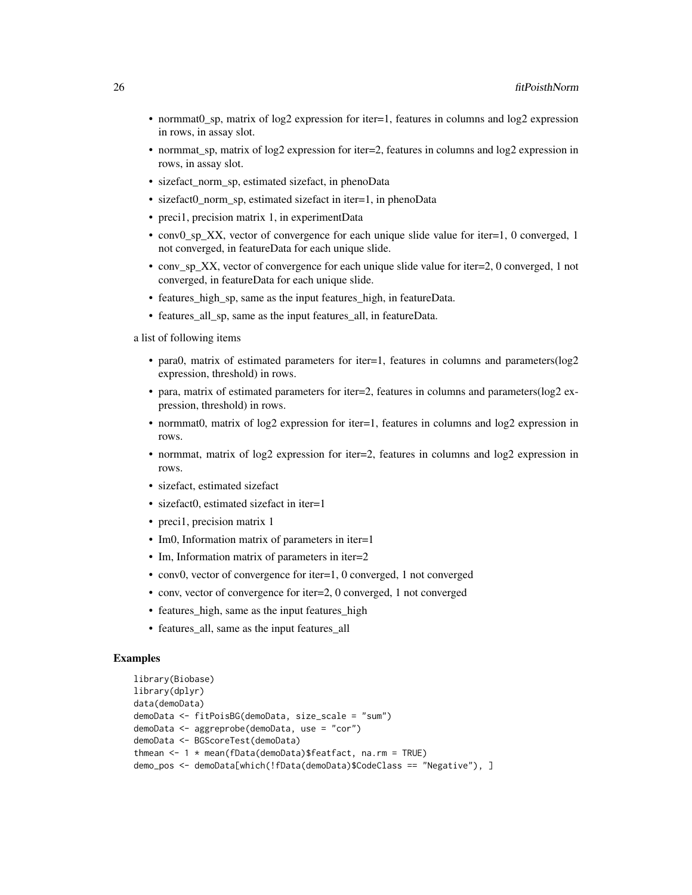- normmat0\_sp, matrix of log2 expression for iter=1, features in columns and log2 expression in rows, in assay slot.
- normmat\_sp, matrix of log2 expression for iter=2, features in columns and log2 expression in rows, in assay slot.
- sizefact\_norm\_sp, estimated sizefact, in phenoData
- sizefact0\_norm\_sp, estimated sizefact in iter=1, in phenoData
- preci1, precision matrix 1, in experimentData
- conv0\_sp\_XX, vector of convergence for each unique slide value for iter=1, 0 converged, 1 not converged, in featureData for each unique slide.
- conv\_sp\_XX, vector of convergence for each unique slide value for iter=2, 0 converged, 1 not converged, in featureData for each unique slide.
- features\_high\_sp, same as the input features\_high, in featureData.
- features\_all\_sp, same as the input features\_all, in featureData.

a list of following items

- para0, matrix of estimated parameters for iter=1, features in columns and parameters( $log2$ expression, threshold) in rows.
- para, matrix of estimated parameters for iter=2, features in columns and parameters(log2 expression, threshold) in rows.
- normmat0, matrix of log2 expression for iter=1, features in columns and log2 expression in rows.
- normmat, matrix of log2 expression for iter=2, features in columns and log2 expression in rows.
- sizefact, estimated sizefact
- sizefact0, estimated sizefact in iter=1
- preci1, precision matrix 1
- Im0, Information matrix of parameters in iter=1
- Im, Information matrix of parameters in iter=2
- conv0, vector of convergence for iter=1, 0 converged, 1 not converged
- conv, vector of convergence for iter=2, 0 converged, 1 not converged
- features high, same as the input features high
- features\_all, same as the input features\_all

#### Examples

```
library(Biobase)
library(dplyr)
data(demoData)
demoData <- fitPoisBG(demoData, size_scale = "sum")
demoData <- aggreprobe(demoData, use = "cor")
demoData <- BGScoreTest(demoData)
thmean <- 1 * mean(fData(demoData)$featfact, na.rm = TRUE)
demo_pos <- demoData[which(!fData(demoData)$CodeClass == "Negative"), ]
```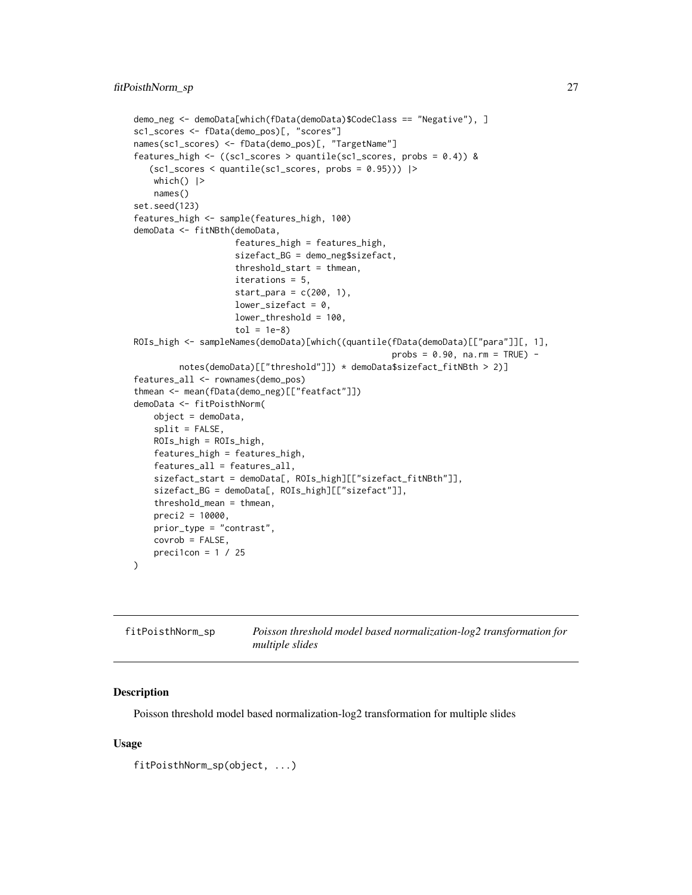```
demo_neg <- demoData[which(fData(demoData)$CodeClass == "Negative"), ]
sc1_scores <- fData(demo_pos)[, "scores"]
names(sc1_scores) <- fData(demo_pos)[, "TargetName"]
features_high <- ((sc1_scores > quantile(sc1_scores, probs = 0.4)) &
   (sc1_scores < quantile(sc1_scores, probs = 0.95))) |>
   which() |>names()
set.seed(123)
features_high <- sample(features_high, 100)
demoData <- fitNBth(demoData,
                    features_high = features_high,
                    sizefact_BG = demo_neg$sizefact,
                    threshold_start = thmean,
                    iterations = 5,
                    start_para = c(200, 1),
                    lower\_sizefact = 0,lower_threshold = 100,
                    tol = 1e-8ROIs_high <- sampleNames(demoData)[which((quantile(fData(demoData)[["para"]][, 1],
                                                   probs = 0.90, na.rm = TRUE) -
         notes(demoData)[["threshold"]]) * demoData$sizefact_fitNBth > 2)]
features_all <- rownames(demo_pos)
thmean <- mean(fData(demo_neg)[["featfact"]])
demoData <- fitPoisthNorm(
   object = demoData,
    split = FALSE,
   ROIs_high = ROIs_high,
   features_high = features_high,
   features_all = features_all,
   sizefact_start = demoData[, ROIs_high][["sizefact_fitNBth"]],
   sizefact_BG = demoData[, ROIs_high][["sizefact"]],
   threshold_mean = thmean,
   preci2 = 10000,
   prior_type = "contrast",
   covrob = FALSE,
   preci1con = 1 / 25
\lambda
```

| fitPoisthNorm_sp | Poisson threshold model based normalization-log2 transformation for |
|------------------|---------------------------------------------------------------------|
|                  | <i>multiple slides</i>                                              |

#### **Description**

Poisson threshold model based normalization-log2 transformation for multiple slides

#### Usage

fitPoisthNorm\_sp(object, ...)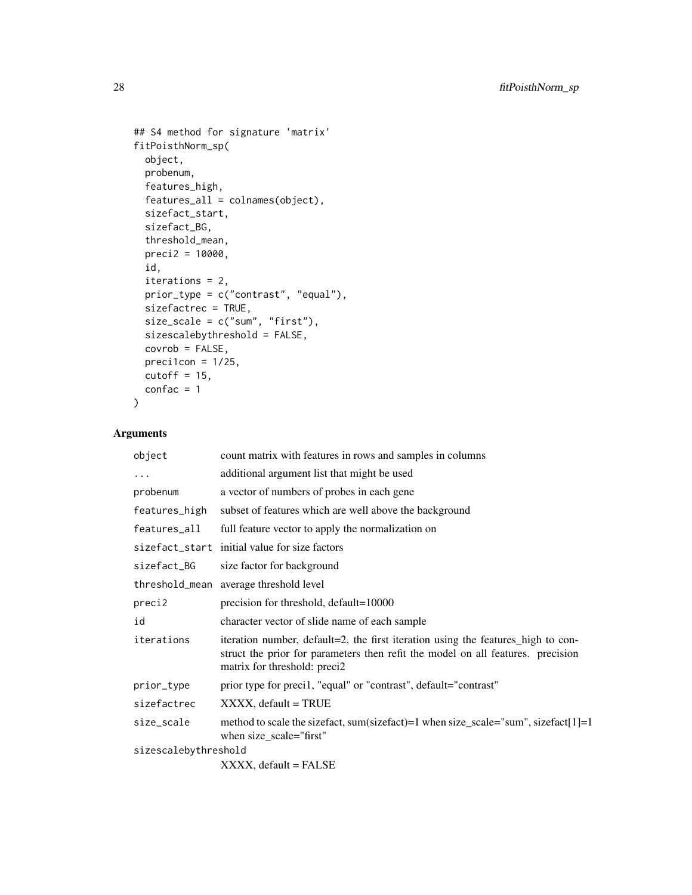```
## S4 method for signature 'matrix'
fitPoisthNorm_sp(
 object,
 probenum,
 features_high,
 features_all = colnames(object),
 sizefact_start,
 sizefact_BG,
 threshold_mean,
 preci2 = 10000,
 id,
 iterations = 2,
 prior_type = c("contrast", "equal"),
 sizefactrec = TRUE,
 size_scale = c("sum", "first"),
 sizescalebythreshold = FALSE,
 covrob = FALSE,
 precision = 1/25,
 cutoff = 15,
 confac = 1)
```

| object               | count matrix with features in rows and samples in columns                                                                                                                                           |
|----------------------|-----------------------------------------------------------------------------------------------------------------------------------------------------------------------------------------------------|
| $\ddotsc$            | additional argument list that might be used                                                                                                                                                         |
| probenum             | a vector of numbers of probes in each gene                                                                                                                                                          |
| features_high        | subset of features which are well above the background                                                                                                                                              |
| features_all         | full feature vector to apply the normalization on                                                                                                                                                   |
|                      | sizefact_start initial value for size factors                                                                                                                                                       |
| sizefact_BG          | size factor for background                                                                                                                                                                          |
|                      | threshold_mean average threshold level                                                                                                                                                              |
| preci2               | precision for threshold, default=10000                                                                                                                                                              |
| id                   | character vector of slide name of each sample                                                                                                                                                       |
| iterations           | iteration number, default=2, the first iteration using the features_high to con-<br>struct the prior for parameters then refit the model on all features. precision<br>matrix for threshold: preci2 |
| prior_type           | prior type for preci1, "equal" or "contrast", default="contrast"                                                                                                                                    |
| sizefactrec          | $XXXX$ , default = TRUE                                                                                                                                                                             |
| size_scale           | method to scale the sizefact, sum(sizefact)=1 when size_scale="sum", sizefact[1]=1<br>when size_scale="first"                                                                                       |
| sizescalebythreshold |                                                                                                                                                                                                     |
|                      | $XXXX$ , default = FALSE                                                                                                                                                                            |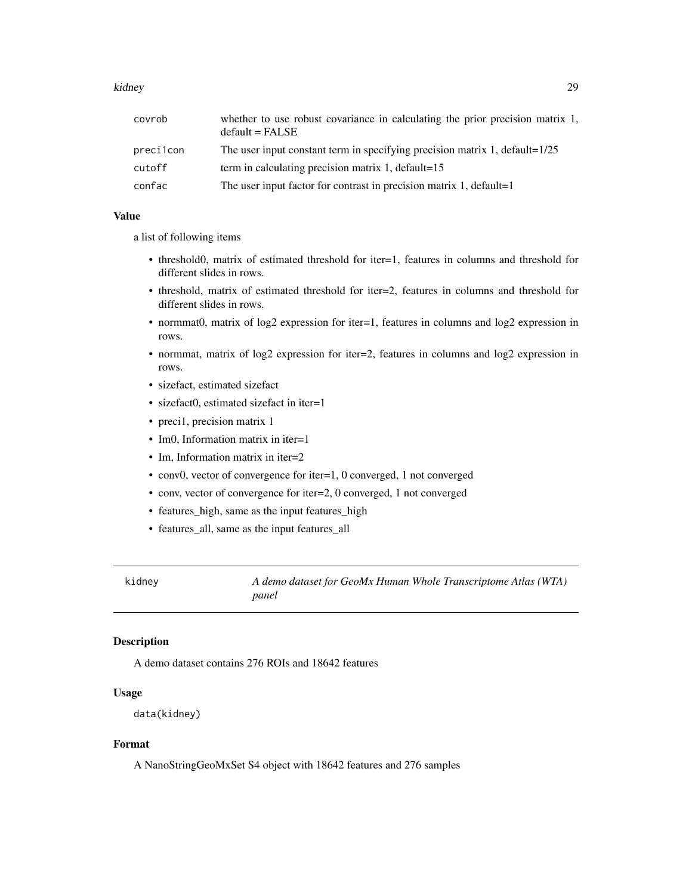#### <span id="page-28-0"></span>kidney 29

| covrob    | whether to use robust covariance in calculating the prior precision matrix 1,<br>$default = FALSE$ |
|-----------|----------------------------------------------------------------------------------------------------|
| precilcon | The user input constant term in specifying precision matrix 1, default=1/25                        |
| cutoff    | term in calculating precision matrix 1, default=15                                                 |
| confac    | The user input factor for contrast in precision matrix 1, default=1                                |

#### Value

a list of following items

- threshold0, matrix of estimated threshold for iter=1, features in columns and threshold for different slides in rows.
- threshold, matrix of estimated threshold for iter=2, features in columns and threshold for different slides in rows.
- normmat0, matrix of log2 expression for iter=1, features in columns and log2 expression in rows.
- normmat, matrix of log2 expression for iter=2, features in columns and log2 expression in rows.
- sizefact, estimated sizefact
- sizefact0, estimated sizefact in iter=1
- preci1, precision matrix 1
- Im0, Information matrix in iter=1
- Im, Information matrix in iter=2
- conv0, vector of convergence for iter=1, 0 converged, 1 not converged
- conv, vector of convergence for iter=2, 0 converged, 1 not converged
- features\_high, same as the input features\_high
- features\_all, same as the input features\_all

kidney *A demo dataset for GeoMx Human Whole Transcriptome Atlas (WTA) panel*

# Description

A demo dataset contains 276 ROIs and 18642 features

#### Usage

```
data(kidney)
```
#### Format

A NanoStringGeoMxSet S4 object with 18642 features and 276 samples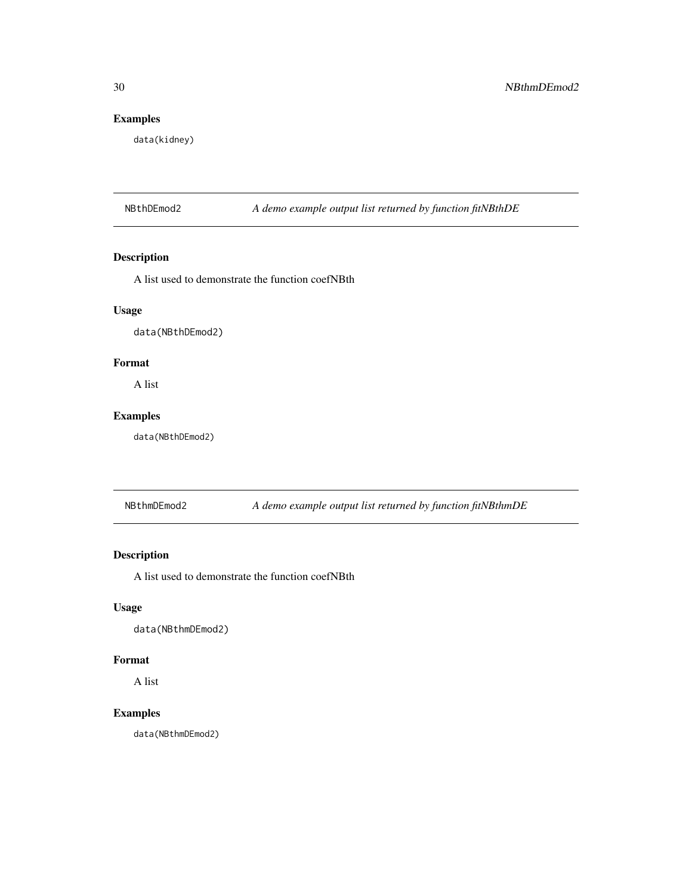# <span id="page-29-0"></span>Examples

data(kidney)

NBthDEmod2 *A demo example output list returned by function fitNBthDE*

# Description

A list used to demonstrate the function coefNBth

# Usage

data(NBthDEmod2)

# Format

A list

# Examples

data(NBthDEmod2)

NBthmDEmod2 *A demo example output list returned by function fitNBthmDE*

# Description

A list used to demonstrate the function coefNBth

#### Usage

data(NBthmDEmod2)

#### Format

A list

# Examples

data(NBthmDEmod2)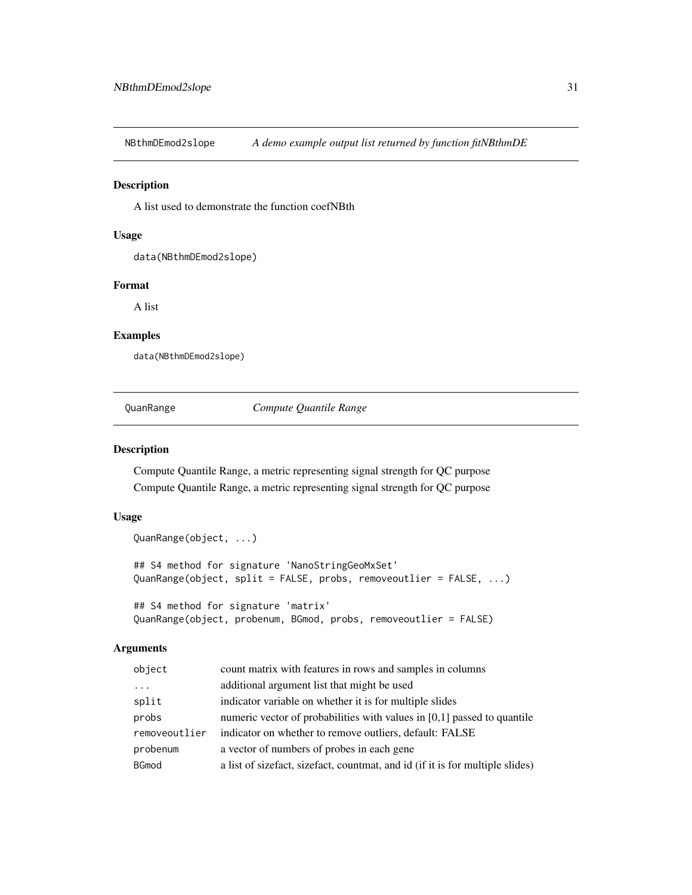<span id="page-30-0"></span>NBthmDEmod2slope *A demo example output list returned by function fitNBthmDE*

#### Description

A list used to demonstrate the function coefNBth

#### Usage

```
data(NBthmDEmod2slope)
```
#### Format

A list

#### Examples

data(NBthmDEmod2slope)

QuanRange *Compute Quantile Range*

#### Description

Compute Quantile Range, a metric representing signal strength for QC purpose Compute Quantile Range, a metric representing signal strength for QC purpose

# Usage

```
QuanRange(object, ...)
## S4 method for signature 'NanoStringGeoMxSet'
QuanRange(object, split = FALSE, probs, removeoutlier = FALSE, ...)
## S4 method for signature 'matrix'
QuanRange(object, probenum, BGmod, probs, removeoutlier = FALSE)
```

| object                  | count matrix with features in rows and samples in columns                     |
|-------------------------|-------------------------------------------------------------------------------|
| $\cdot$ $\cdot$ $\cdot$ | additional argument list that might be used                                   |
| split                   | indicator variable on whether it is for multiple slides                       |
| probs                   | numeric vector of probabilities with values in $[0,1]$ passed to quantile     |
| removeoutlier           | indicator on whether to remove outliers, default: FALSE                       |
| probenum                | a vector of numbers of probes in each gene                                    |
| <b>BGmod</b>            | a list of sizefact, sizefact, countmat, and id (if it is for multiple slides) |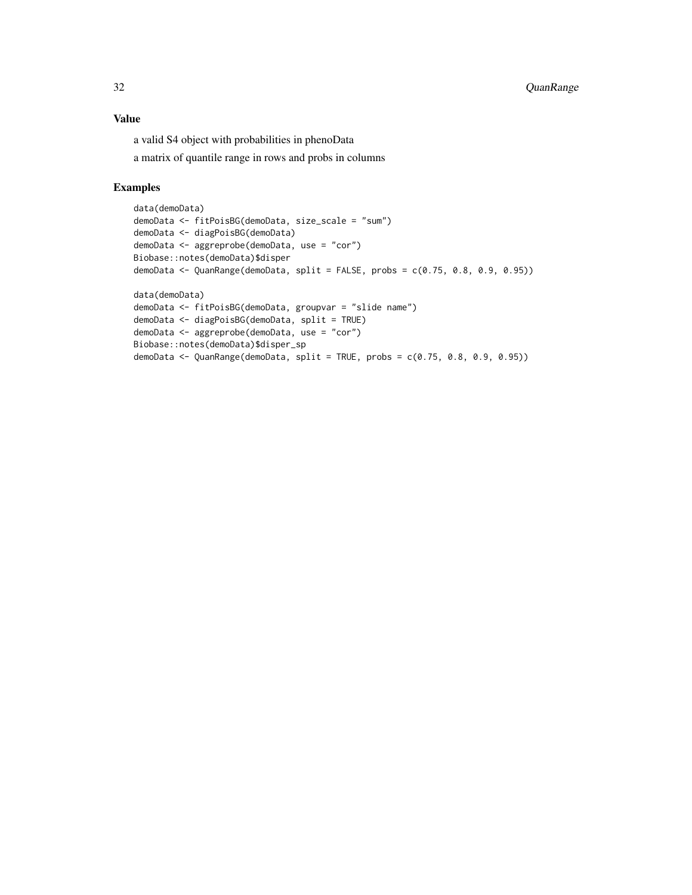# Value

a valid S4 object with probabilities in phenoData

a matrix of quantile range in rows and probs in columns

# Examples

```
data(demoData)
demoData <- fitPoisBG(demoData, size_scale = "sum")
demoData <- diagPoisBG(demoData)
demoData <- aggreprobe(demoData, use = "cor")
Biobase::notes(demoData)$disper
demoData <- QuanRange(demoData, split = FALSE, probs = c(0.75, 0.8, 0.9, 0.95))
data(demoData)
demoData <- fitPoisBG(demoData, groupvar = "slide name")
demoData <- diagPoisBG(demoData, split = TRUE)
demoData <- aggreprobe(demoData, use = "cor")
Biobase::notes(demoData)$disper_sp
demoData <- QuanRange(demoData, split = TRUE, probs = c(0.75, 0.8, 0.9, 0.95))
```